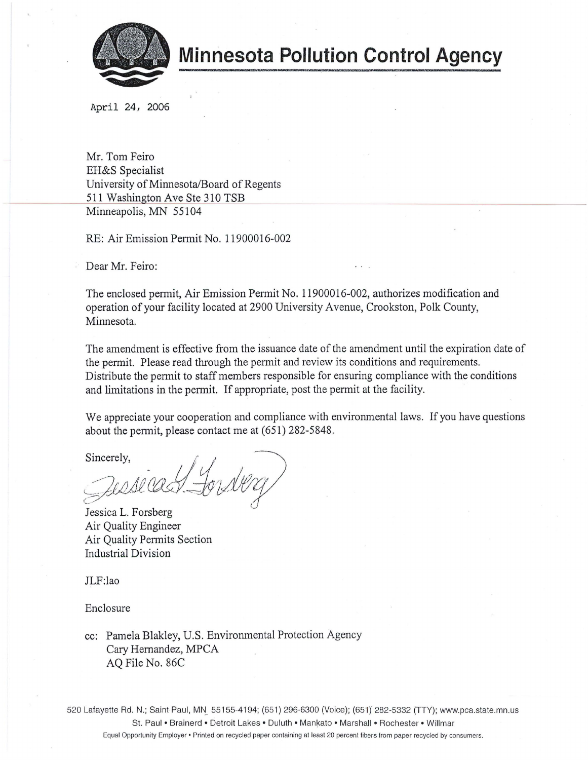

**Minnesota Pollution Control Agency** 

April 24, 2006

Mr. Tom Feiro EH&S Specialist University of Minnesota/Board of Regents 511 Washington Ave Ste 310 TSB Minneapolis, MN 55104

RE: Air Emission Permit No. 11900016-002

Dear Mr. Feiro:

The enclosed permit, Air Emission Permit No. 11900016-002, authorizes modification and operation of your facility located at 2900 University Avenue, Crookston, Polk County, Minnesota.

The amendment is effective from the issuance date of the amendment until the expiration date of the permit. Please read through the permit and review its conditions and requirements. Distribute the permit to staff members responsible for ensuring compliance with the conditions and limitations in the permit. If appropriate, post the permit at the facility.

We appreciate your cooperation and compliance with environmental laws. If you have questions about the permit, please contact me at (651) 282-5848.

Sincerely,  $\left(\begin{array}{ccc} 1 & 1 \\ 1 & 1 \end{array}\right)$  $\cdot$   $114$  1. \_,----7 ' " */}* . ..? ' 'f . -- */)* / *11* I ~ *v* ·--i/J /, *2/f\_,:d-r* -~ . -~!h wkz

Jessica L. Forsberg Air Quality Engineer Air Quality Permits Section Industrial Division

JLF:lao

Enclosure

cc: Pamela Blakley, U.S. Environmental Protection Agency Cary Hernandez, MPCA AQ File No. 86C

520 Lafayette Rd. N.; Saint-Paul, MN 55155-4194; (651) 296-6300 (Voice); (651) 282-5332 (TTY); www.pca.state.mn.us St. Paul • Brainerd • Detroit Lakes • Duluth • Mankato • Marshall • Rochester • Willmar Equal Opportunity Employer • Printed on recycled paper containing at least 20 percent fibers from paper recycled by consumers.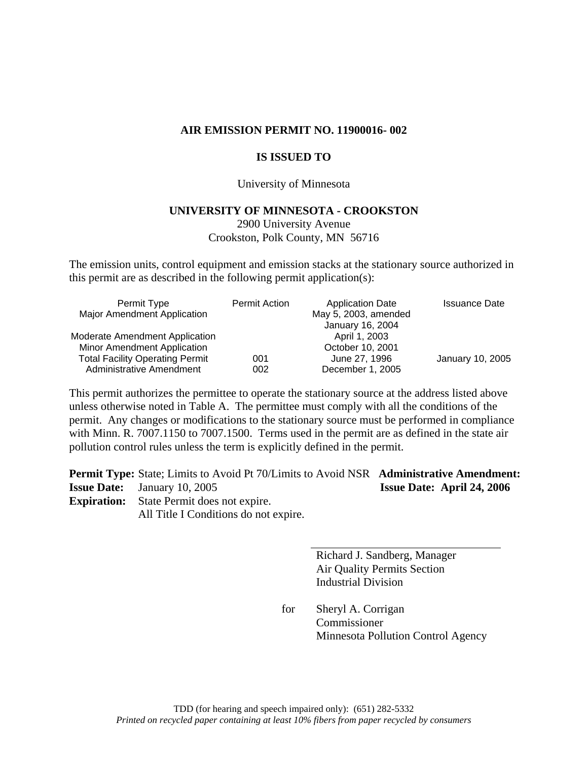### **AIR EMISSION PERMIT NO. 11900016- 002**

## **IS ISSUED TO**

#### University of Minnesota

#### **UNIVERSITY OF MINNESOTA - CROOKSTON**

2900 University Avenue Crookston, Polk County, MN 56716

The emission units, control equipment and emission stacks at the stationary source authorized in this permit are as described in the following permit application(s):

| Permit Type                            | <b>Permit Action</b> | <b>Application Date</b> | <b>Issuance Date</b> |
|----------------------------------------|----------------------|-------------------------|----------------------|
| <b>Major Amendment Application</b>     |                      | May 5, 2003, amended    |                      |
|                                        |                      | January 16, 2004        |                      |
| Moderate Amendment Application         |                      | April 1, 2003           |                      |
| Minor Amendment Application            |                      | October 10, 2001        |                      |
| <b>Total Facility Operating Permit</b> | 001                  | June 27, 1996           | January 10, 2005     |
| <b>Administrative Amendment</b>        | 002                  | December 1, 2005        |                      |

This permit authorizes the permittee to operate the stationary source at the address listed above unless otherwise noted in Table A. The permittee must comply with all the conditions of the permit. Any changes or modifications to the stationary source must be performed in compliance with Minn. R. 7007.1150 to 7007.1500. Terms used in the permit are as defined in the state air pollution control rules unless the term is explicitly defined in the permit.

**Permit Type:** State; Limits to Avoid Pt 70/Limits to Avoid NSR **Administrative Amendment: Issue Date:** January 10, 2005 **Issue Date: April 24, 2006** 

**Expiration:** State Permit does not expire.

All Title I Conditions do not expire.

 Richard J. Sandberg, Manager Air Quality Permits Section Industrial Division

 for Sheryl A. Corrigan Commissioner Minnesota Pollution Control Agency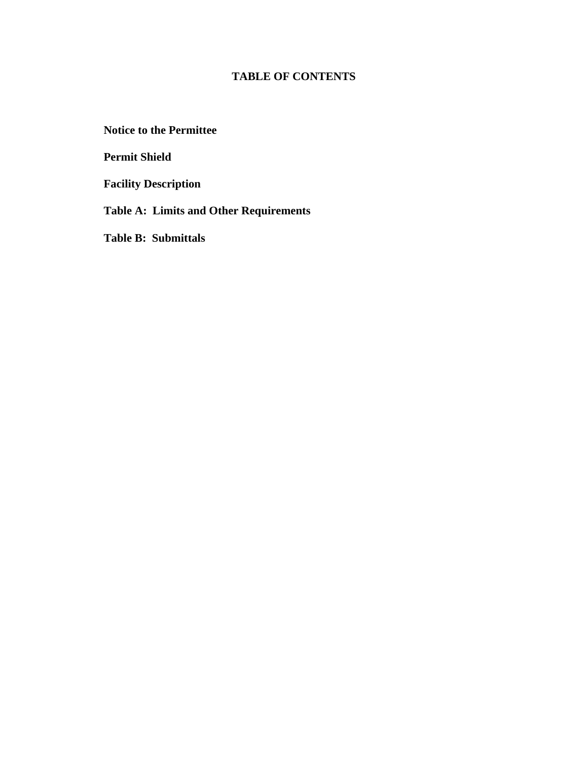# **TABLE OF CONTENTS**

**Notice to the Permittee** 

**Permit Shield** 

**Facility Description** 

**Table A: Limits and Other Requirements** 

**Table B: Submittals**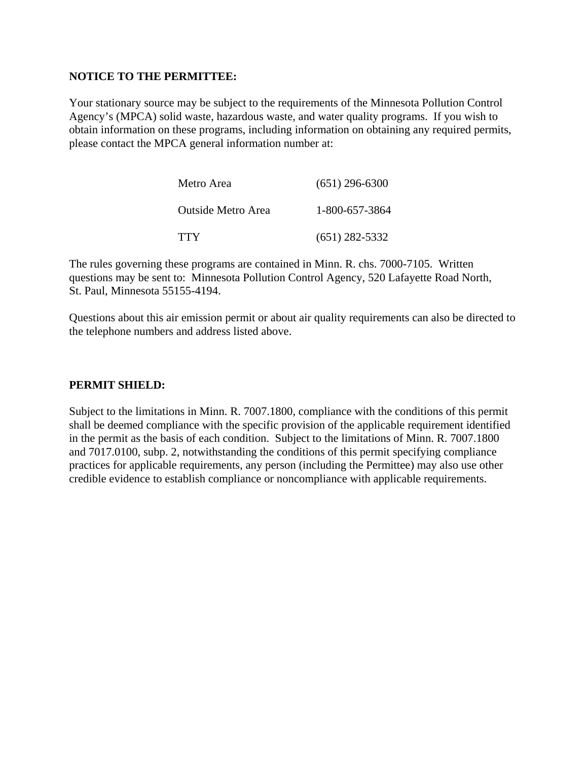## **NOTICE TO THE PERMITTEE:**

Your stationary source may be subject to the requirements of the Minnesota Pollution Control Agency's (MPCA) solid waste, hazardous waste, and water quality programs. If you wish to obtain information on these programs, including information on obtaining any required permits, please contact the MPCA general information number at:

| Metro Area         | $(651)$ 296-6300 |
|--------------------|------------------|
| Outside Metro Area | 1-800-657-3864   |
| <b>TTY</b>         | $(651)$ 282-5332 |

The rules governing these programs are contained in Minn. R. chs. 7000-7105. Written questions may be sent to: Minnesota Pollution Control Agency, 520 Lafayette Road North, St. Paul, Minnesota 55155-4194.

Questions about this air emission permit or about air quality requirements can also be directed to the telephone numbers and address listed above.

## **PERMIT SHIELD:**

Subject to the limitations in Minn. R. 7007.1800, compliance with the conditions of this permit shall be deemed compliance with the specific provision of the applicable requirement identified in the permit as the basis of each condition. Subject to the limitations of Minn. R. 7007.1800 and 7017.0100, subp. 2, notwithstanding the conditions of this permit specifying compliance practices for applicable requirements, any person (including the Permittee) may also use other credible evidence to establish compliance or noncompliance with applicable requirements.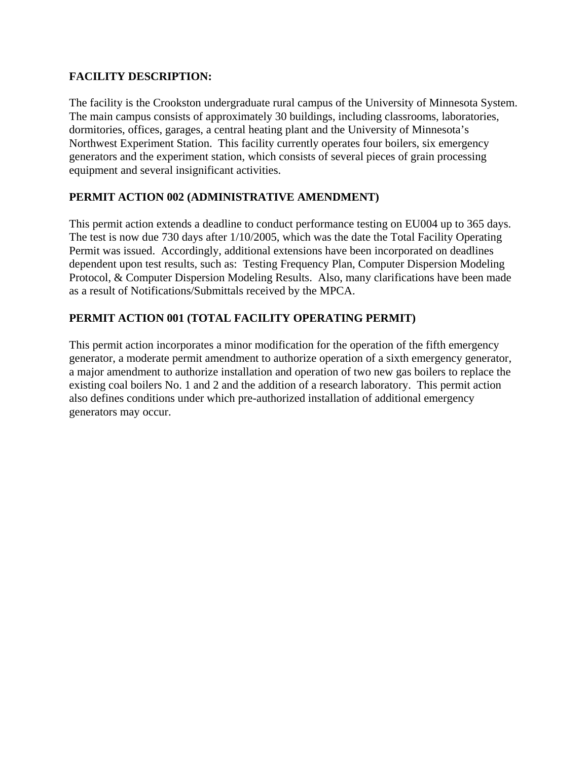# **FACILITY DESCRIPTION:**

The facility is the Crookston undergraduate rural campus of the University of Minnesota System. The main campus consists of approximately 30 buildings, including classrooms, laboratories, dormitories, offices, garages, a central heating plant and the University of Minnesota's Northwest Experiment Station. This facility currently operates four boilers, six emergency generators and the experiment station, which consists of several pieces of grain processing equipment and several insignificant activities.

# **PERMIT ACTION 002 (ADMINISTRATIVE AMENDMENT)**

This permit action extends a deadline to conduct performance testing on EU004 up to 365 days. The test is now due 730 days after 1/10/2005, which was the date the Total Facility Operating Permit was issued. Accordingly, additional extensions have been incorporated on deadlines dependent upon test results, such as: Testing Frequency Plan, Computer Dispersion Modeling Protocol, & Computer Dispersion Modeling Results. Also, many clarifications have been made as a result of Notifications/Submittals received by the MPCA.

# **PERMIT ACTION 001 (TOTAL FACILITY OPERATING PERMIT)**

This permit action incorporates a minor modification for the operation of the fifth emergency generator, a moderate permit amendment to authorize operation of a sixth emergency generator, a major amendment to authorize installation and operation of two new gas boilers to replace the existing coal boilers No. 1 and 2 and the addition of a research laboratory. This permit action also defines conditions under which pre-authorized installation of additional emergency generators may occur.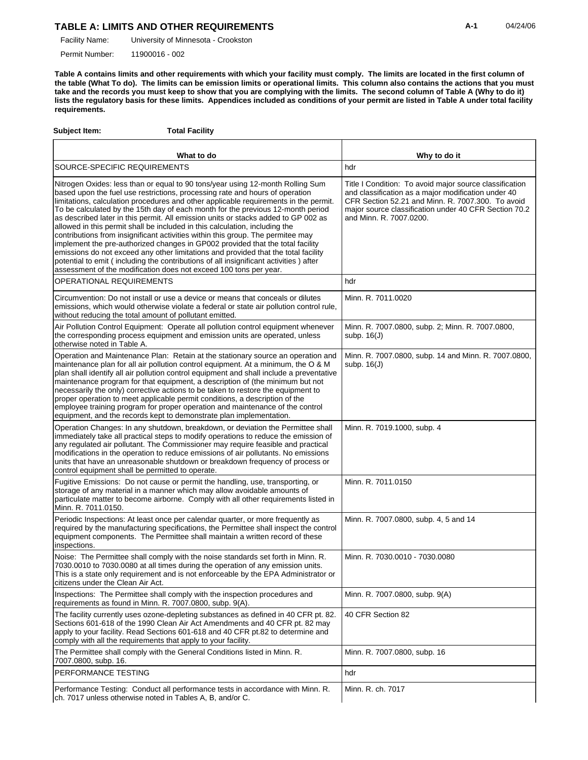## TABLE A: LIMITS AND OTHER REQUIREMENTS **A-1** 04/24/06

University of Minnesota - Crookston Facility Name:

11900016 - 002 Permit Number:

**Table A contains limits and other requirements with which your facility must comply. The limits are located in the first column of the table (What To do). The limits can be emission limits or operational limits. This column also contains the actions that you must take and the records you must keep to show that you are complying with the limits. The second column of Table A (Why to do it) lists the regulatory basis for these limits. Appendices included as conditions of your permit are listed in Table A under total facility requirements.**

| Subject Item:                                                 | <b>Total Facility</b>                                                                                                                                                                                                                                                                                                                                                                                                                                                                                                                                                                                                                                                                                                                                                                                                                                                                                                                   |                                                                                                                                                                                                                                                         |
|---------------------------------------------------------------|-----------------------------------------------------------------------------------------------------------------------------------------------------------------------------------------------------------------------------------------------------------------------------------------------------------------------------------------------------------------------------------------------------------------------------------------------------------------------------------------------------------------------------------------------------------------------------------------------------------------------------------------------------------------------------------------------------------------------------------------------------------------------------------------------------------------------------------------------------------------------------------------------------------------------------------------|---------------------------------------------------------------------------------------------------------------------------------------------------------------------------------------------------------------------------------------------------------|
|                                                               | What to do                                                                                                                                                                                                                                                                                                                                                                                                                                                                                                                                                                                                                                                                                                                                                                                                                                                                                                                              | Why to do it                                                                                                                                                                                                                                            |
| SOURCE-SPECIFIC REQUIREMENTS                                  |                                                                                                                                                                                                                                                                                                                                                                                                                                                                                                                                                                                                                                                                                                                                                                                                                                                                                                                                         | hdr                                                                                                                                                                                                                                                     |
|                                                               | Nitrogen Oxides: less than or equal to 90 tons/year using 12-month Rolling Sum<br>based upon the fuel use restrictions, processing rate and hours of operation<br>limitations, calculation procedures and other applicable requirements in the permit.<br>To be calculated by the 15th day of each month for the previous 12-month period<br>as described later in this permit. All emission units or stacks added to GP 002 as<br>allowed in this permit shall be included in this calculation, including the<br>contributions from insignificant activities within this group. The permitee may<br>implement the pre-authorized changes in GP002 provided that the total facility<br>emissions do not exceed any other limitations and provided that the total facility<br>potential to emit (including the contributions of all insignificant activities) after<br>assessment of the modification does not exceed 100 tons per year. | Title I Condition: To avoid major source classification<br>and classification as a major modification under 40<br>CFR Section 52.21 and Minn. R. 7007.300. To avoid<br>major source classification under 40 CFR Section 70.2<br>and Minn. R. 7007.0200. |
| OPERATIONAL REQUIREMENTS                                      |                                                                                                                                                                                                                                                                                                                                                                                                                                                                                                                                                                                                                                                                                                                                                                                                                                                                                                                                         | hdr                                                                                                                                                                                                                                                     |
| without reducing the total amount of pollutant emitted.       | Circumvention: Do not install or use a device or means that conceals or dilutes<br>emissions, which would otherwise violate a federal or state air pollution control rule,                                                                                                                                                                                                                                                                                                                                                                                                                                                                                                                                                                                                                                                                                                                                                              | Minn. R. 7011.0020                                                                                                                                                                                                                                      |
| otherwise noted in Table A.                                   | Air Pollution Control Equipment: Operate all pollution control equipment whenever<br>the corresponding process equipment and emission units are operated, unless                                                                                                                                                                                                                                                                                                                                                                                                                                                                                                                                                                                                                                                                                                                                                                        | Minn. R. 7007.0800, subp. 2; Minn. R. 7007.0800,<br>subp. $16(J)$                                                                                                                                                                                       |
|                                                               | Operation and Maintenance Plan: Retain at the stationary source an operation and<br>maintenance plan for all air pollution control equipment. At a minimum, the O & M<br>plan shall identify all air pollution control equipment and shall include a preventative<br>maintenance program for that equipment, a description of (the minimum but not<br>necessarily the only) corrective actions to be taken to restore the equipment to<br>proper operation to meet applicable permit conditions, a description of the<br>employee training program for proper operation and maintenance of the control<br>equipment, and the records kept to demonstrate plan implementation.                                                                                                                                                                                                                                                           | Minn. R. 7007.0800, subp. 14 and Minn. R. 7007.0800,<br>subp. $16(J)$                                                                                                                                                                                   |
| control equipment shall be permitted to operate.              | Operation Changes: In any shutdown, breakdown, or deviation the Permittee shall<br>immediately take all practical steps to modify operations to reduce the emission of<br>any regulated air pollutant. The Commissioner may require feasible and practical<br>modifications in the operation to reduce emissions of air pollutants. No emissions<br>units that have an unreasonable shutdown or breakdown frequency of process or                                                                                                                                                                                                                                                                                                                                                                                                                                                                                                       | Minn. R. 7019.1000, subp. 4                                                                                                                                                                                                                             |
| Minn. R. 7011.0150.                                           | Fugitive Emissions: Do not cause or permit the handling, use, transporting, or<br>storage of any material in a manner which may allow avoidable amounts of<br>particulate matter to become airborne. Comply with all other requirements listed in                                                                                                                                                                                                                                                                                                                                                                                                                                                                                                                                                                                                                                                                                       | Minn. R. 7011.0150                                                                                                                                                                                                                                      |
| inspections.                                                  | Periodic Inspections: At least once per calendar quarter, or more frequently as<br>required by the manufacturing specifications, the Permittee shall inspect the control<br>equipment components. The Permittee shall maintain a written record of these                                                                                                                                                                                                                                                                                                                                                                                                                                                                                                                                                                                                                                                                                | Minn. R. 7007.0800, subp. 4, 5 and 14                                                                                                                                                                                                                   |
| citizens under the Clean Air Act.                             | Noise: The Permittee shall comply with the noise standards set forth in Minn. R.<br>7030.0010 to 7030.0080 at all times during the operation of any emission units.<br>This is a state only requirement and is not enforceable by the EPA Administrator or                                                                                                                                                                                                                                                                                                                                                                                                                                                                                                                                                                                                                                                                              | Minn. R. 7030.0010 - 7030.0080                                                                                                                                                                                                                          |
| requirements as found in Minn. R. 7007.0800, subp. 9(A).      | Inspections: The Permittee shall comply with the inspection procedures and                                                                                                                                                                                                                                                                                                                                                                                                                                                                                                                                                                                                                                                                                                                                                                                                                                                              | Minn. R. 7007.0800, subp. 9(A)                                                                                                                                                                                                                          |
| comply with all the requirements that apply to your facility. | The facility currently uses ozone-depleting substances as defined in 40 CFR pt. 82.<br>Sections 601-618 of the 1990 Clean Air Act Amendments and 40 CFR pt. 82 may<br>apply to your facility. Read Sections 601-618 and 40 CFR pt.82 to determine and                                                                                                                                                                                                                                                                                                                                                                                                                                                                                                                                                                                                                                                                                   | 40 CFR Section 82                                                                                                                                                                                                                                       |
| 7007.0800, subp. 16.                                          | The Permittee shall comply with the General Conditions listed in Minn. R.                                                                                                                                                                                                                                                                                                                                                                                                                                                                                                                                                                                                                                                                                                                                                                                                                                                               | Minn. R. 7007.0800, subp. 16                                                                                                                                                                                                                            |
| PERFORMANCE TESTING                                           |                                                                                                                                                                                                                                                                                                                                                                                                                                                                                                                                                                                                                                                                                                                                                                                                                                                                                                                                         | hdr                                                                                                                                                                                                                                                     |
| ch. 7017 unless otherwise noted in Tables A, B, and/or C.     | Performance Testing: Conduct all performance tests in accordance with Minn. R.                                                                                                                                                                                                                                                                                                                                                                                                                                                                                                                                                                                                                                                                                                                                                                                                                                                          | Minn. R. ch. 7017                                                                                                                                                                                                                                       |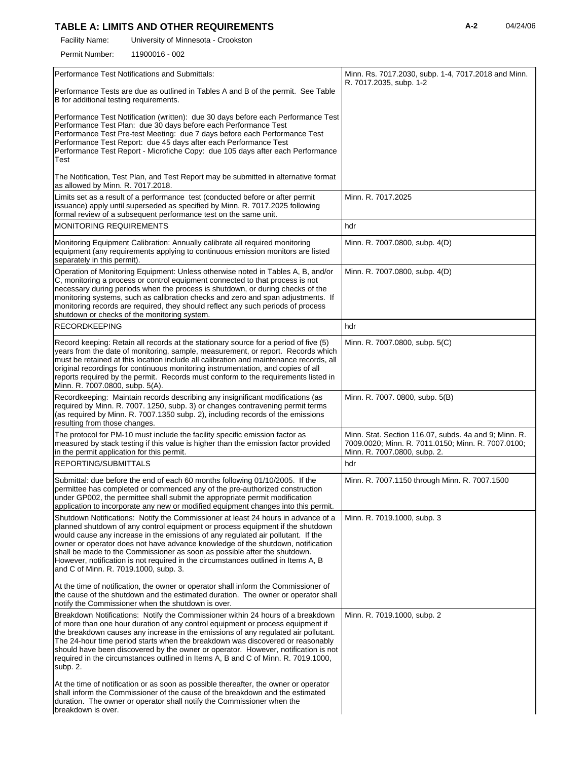# TABLE A: LIMITS AND OTHER REQUIREMENTS **A-2** 04/24/06

University of Minnesota - Crookston Facility Name:

11900016 - 002 Permit Number:

| Performance Test Notifications and Submittals:                                                                                                                                                                                                                                                                                                                                                                                                                                                                                                        | Minn. Rs. 7017.2030, subp. 1-4, 7017.2018 and Minn.<br>R. 7017.2035, subp. 1-2                                                              |
|-------------------------------------------------------------------------------------------------------------------------------------------------------------------------------------------------------------------------------------------------------------------------------------------------------------------------------------------------------------------------------------------------------------------------------------------------------------------------------------------------------------------------------------------------------|---------------------------------------------------------------------------------------------------------------------------------------------|
| Performance Tests are due as outlined in Tables A and B of the permit. See Table<br>B for additional testing requirements.                                                                                                                                                                                                                                                                                                                                                                                                                            |                                                                                                                                             |
| Performance Test Notification (written): due 30 days before each Performance Test<br>Performance Test Plan: due 30 days before each Performance Test<br>Performance Test Pre-test Meeting: due 7 days before each Performance Test<br>Performance Test Report: due 45 days after each Performance Test<br>Performance Test Report - Microfiche Copy: due 105 days after each Performance<br>Test                                                                                                                                                      |                                                                                                                                             |
| The Notification, Test Plan, and Test Report may be submitted in alternative format<br>as allowed by Minn. R. 7017.2018.                                                                                                                                                                                                                                                                                                                                                                                                                              |                                                                                                                                             |
| Limits set as a result of a performance test (conducted before or after permit<br>issuance) apply until superseded as specified by Minn. R. 7017.2025 following<br>formal review of a subsequent performance test on the same unit.                                                                                                                                                                                                                                                                                                                   | Minn. R. 7017.2025                                                                                                                          |
| <b>MONITORING REQUIREMENTS</b>                                                                                                                                                                                                                                                                                                                                                                                                                                                                                                                        | hdr                                                                                                                                         |
| Monitoring Equipment Calibration: Annually calibrate all required monitoring<br>equipment (any requirements applying to continuous emission monitors are listed<br>separately in this permit).                                                                                                                                                                                                                                                                                                                                                        | Minn. R. 7007.0800, subp. 4(D)                                                                                                              |
| Operation of Monitoring Equipment: Unless otherwise noted in Tables A, B, and/or<br>C, monitoring a process or control equipment connected to that process is not<br>necessary during periods when the process is shutdown, or during checks of the<br>monitoring systems, such as calibration checks and zero and span adjustments. If<br>monitoring records are required, they should reflect any such periods of process<br>shutdown or checks of the monitoring system.                                                                           | Minn. R. 7007.0800, subp. 4(D)                                                                                                              |
| <b>RECORDKEEPING</b>                                                                                                                                                                                                                                                                                                                                                                                                                                                                                                                                  | hdr                                                                                                                                         |
| Record keeping: Retain all records at the stationary source for a period of five (5)<br>years from the date of monitoring, sample, measurement, or report. Records which<br>must be retained at this location include all calibration and maintenance records, all<br>original recordings for continuous monitoring instrumentation, and copies of all<br>reports required by the permit. Records must conform to the requirements listed in<br>Minn. R. 7007.0800, subp. 5(A).                                                                       | Minn. R. 7007.0800, subp. 5(C)                                                                                                              |
| Recordkeeping: Maintain records describing any insignificant modifications (as<br>required by Minn. R. 7007. 1250, subp. 3) or changes contravening permit terms<br>(as required by Minn. R. 7007.1350 subp. 2), including records of the emissions<br>resulting from those changes.                                                                                                                                                                                                                                                                  | Minn. R. 7007. 0800, subp. 5(B)                                                                                                             |
| The protocol for PM-10 must include the facility specific emission factor as<br>measured by stack testing if this value is higher than the emission factor provided<br>in the permit application for this permit.                                                                                                                                                                                                                                                                                                                                     | Minn. Stat. Section 116.07, subds. 4a and 9; Minn. R.<br>7009.0020; Minn. R. 7011.0150; Minn. R. 7007.0100;<br>Minn. R. 7007.0800, subp. 2. |
| REPORTING/SUBMITTALS                                                                                                                                                                                                                                                                                                                                                                                                                                                                                                                                  | hdr                                                                                                                                         |
| Submittal: due before the end of each 60 months following 01/10/2005. If the<br>permittee has completed or commenced any of the pre-authorized construction<br>under GP002, the permittee shall submit the appropriate permit modification<br>application to incorporate any new or modified equipment changes into this permit.                                                                                                                                                                                                                      | Minn. R. 7007.1150 through Minn. R. 7007.1500                                                                                               |
| Shutdown Notifications: Notify the Commissioner at least 24 hours in advance of a<br>planned shutdown of any control equipment or process equipment if the shutdown<br>would cause any increase in the emissions of any regulated air pollutant. If the<br>owner or operator does not have advance knowledge of the shutdown, notification<br>shall be made to the Commissioner as soon as possible after the shutdown.<br>However, notification is not required in the circumstances outlined in Items A, B<br>and C of Minn. R. 7019.1000, subp. 3. | Minn. R. 7019.1000, subp. 3                                                                                                                 |
| At the time of notification, the owner or operator shall inform the Commissioner of<br>the cause of the shutdown and the estimated duration. The owner or operator shall<br>notify the Commissioner when the shutdown is over.                                                                                                                                                                                                                                                                                                                        |                                                                                                                                             |
| Breakdown Notifications: Notify the Commissioner within 24 hours of a breakdown<br>of more than one hour duration of any control equipment or process equipment if<br>the breakdown causes any increase in the emissions of any regulated air pollutant.<br>The 24-hour time period starts when the breakdown was discovered or reasonably<br>should have been discovered by the owner or operator. However, notification is not<br>required in the circumstances outlined in Items A, B and C of Minn. R. 7019.1000,<br>subp. 2.                     | Minn. R. 7019.1000, subp. 2                                                                                                                 |
| At the time of notification or as soon as possible thereafter, the owner or operator<br>shall inform the Commissioner of the cause of the breakdown and the estimated<br>duration. The owner or operator shall notify the Commissioner when the<br>breakdown is over.                                                                                                                                                                                                                                                                                 |                                                                                                                                             |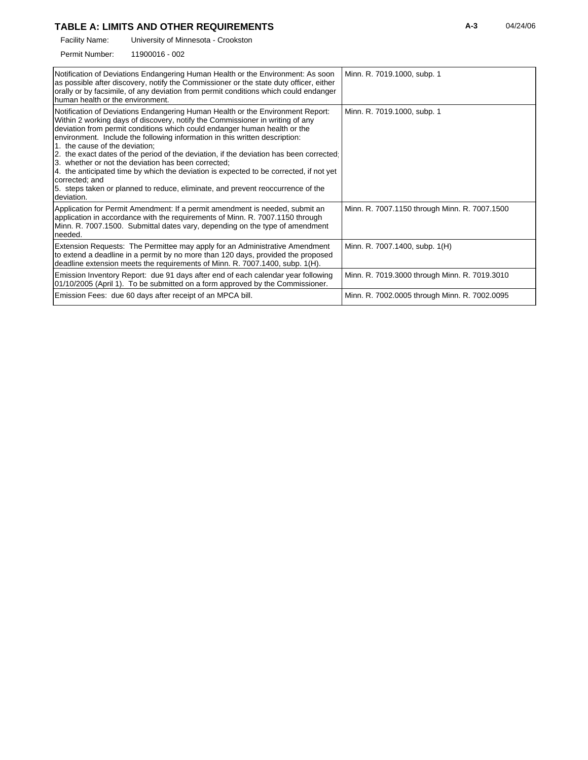## **TABLE A: LIMITS AND OTHER REQUIREMENTS A-3** 04/24/06

University of Minnesota - Crookston Facility Name:

11900016 - 002 Permit Number:

| Notification of Deviations Endangering Human Health or the Environment: As soon<br>as possible after discovery, notify the Commissioner or the state duty officer, either<br>orally or by facsimile, of any deviation from permit conditions which could endanger<br>human health or the environment.                                                                                                                                                                                                                                                                                                                                                                                                                         | Minn. R. 7019.1000, subp. 1                   |
|-------------------------------------------------------------------------------------------------------------------------------------------------------------------------------------------------------------------------------------------------------------------------------------------------------------------------------------------------------------------------------------------------------------------------------------------------------------------------------------------------------------------------------------------------------------------------------------------------------------------------------------------------------------------------------------------------------------------------------|-----------------------------------------------|
| Notification of Deviations Endangering Human Health or the Environment Report:<br>Within 2 working days of discovery, notify the Commissioner in writing of any<br>deviation from permit conditions which could endanger human health or the<br>environment. Include the following information in this written description:<br>1. the cause of the deviation;<br>2. the exact dates of the period of the deviation, if the deviation has been corrected.<br>3. whether or not the deviation has been corrected;<br>4. the anticipated time by which the deviation is expected to be corrected, if not yet<br>corrected; and<br>5. steps taken or planned to reduce, eliminate, and prevent reoccurrence of the<br>Ideviation. | Minn. R. 7019.1000, subp. 1                   |
| Application for Permit Amendment: If a permit amendment is needed, submit an<br>application in accordance with the requirements of Minn. R. 7007.1150 through<br>Minn, R. 7007.1500. Submittal dates vary, depending on the type of amendment<br>needed.                                                                                                                                                                                                                                                                                                                                                                                                                                                                      | Minn. R. 7007.1150 through Minn. R. 7007.1500 |
| Extension Requests: The Permittee may apply for an Administrative Amendment<br>to extend a deadline in a permit by no more than 120 days, provided the proposed<br>deadline extension meets the requirements of Minn. R. 7007.1400, subp. 1(H).                                                                                                                                                                                                                                                                                                                                                                                                                                                                               | Minn. R. 7007.1400, subp. 1(H)                |
| Emission Inventory Report: due 91 days after end of each calendar year following<br>01/10/2005 (April 1). To be submitted on a form approved by the Commissioner.                                                                                                                                                                                                                                                                                                                                                                                                                                                                                                                                                             | Minn. R. 7019.3000 through Minn. R. 7019.3010 |
| Emission Fees: due 60 days after receipt of an MPCA bill.                                                                                                                                                                                                                                                                                                                                                                                                                                                                                                                                                                                                                                                                     | Minn. R. 7002.0005 through Minn. R. 7002.0095 |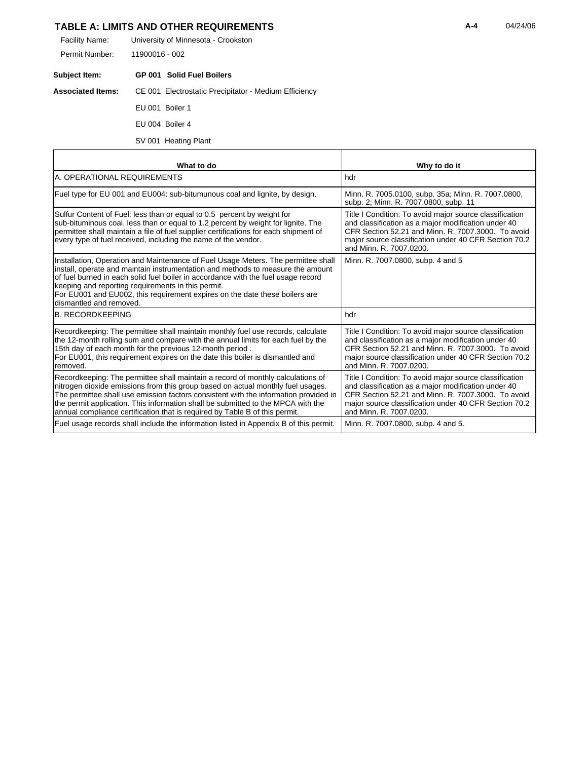## **TABLE A: LIMITS AND OTHER REQUIREMENTS A-4** 04/24/06

| Facility Name: | University of Minnesota - Crookston |
|----------------|-------------------------------------|
| Permit Number: | 11900016 - 002                      |

| Subject Item: |                 | <b>GP 001 Solid Fuel Boilers</b>                                               |
|---------------|-----------------|--------------------------------------------------------------------------------|
|               |                 | <b>Associated Items:</b> CE 001 Electrostatic Precipitator - Medium Efficiency |
|               | EU 001 Boiler 1 |                                                                                |
|               | EU 004 Boiler 4 |                                                                                |

#### SV 001 Heating Plant

r

| What to do                                                                                                                                                                                                                                                                                                                                                                                                                    | Why to do it                                                                                                                                                                                                                                             |
|-------------------------------------------------------------------------------------------------------------------------------------------------------------------------------------------------------------------------------------------------------------------------------------------------------------------------------------------------------------------------------------------------------------------------------|----------------------------------------------------------------------------------------------------------------------------------------------------------------------------------------------------------------------------------------------------------|
| A. OPERATIONAL REQUIREMENTS                                                                                                                                                                                                                                                                                                                                                                                                   | hdr                                                                                                                                                                                                                                                      |
| Fuel type for EU 001 and EU004: sub-bitumunous coal and lignite, by design.                                                                                                                                                                                                                                                                                                                                                   | Minn. R. 7005.0100, subp. 35a; Minn. R. 7007.0800,<br>subp. 2; Minn. R. 7007.0800, subp. 11                                                                                                                                                              |
| Sulfur Content of Fuel: less than or equal to 0.5 percent by weight for<br>sub-bituminous coal, less than or equal to 1.2 percent by weight for lignite. The<br>permittee shall maintain a file of fuel supplier certifications for each shipment of<br>every type of fuel received, including the name of the vendor.                                                                                                        | Title I Condition: To avoid major source classification<br>and classification as a major modification under 40<br>CFR Section 52.21 and Minn, R. 7007.3000. To avoid<br>major source classification under 40 CFR Section 70.2<br>and Minn. R. 7007.0200. |
| Installation, Operation and Maintenance of Fuel Usage Meters. The permittee shall<br>install, operate and maintain instrumentation and methods to measure the amount<br>of fuel burned in each solid fuel boiler in accordance with the fuel usage record<br>keeping and reporting requirements in this permit.<br>For EU001 and EU002, this requirement expires on the date these boilers are<br>dismantled and removed.     | Minn. R. 7007.0800, subp. 4 and 5                                                                                                                                                                                                                        |
| <b>B. RECORDKEEPING</b>                                                                                                                                                                                                                                                                                                                                                                                                       | hdr                                                                                                                                                                                                                                                      |
| Recordkeeping: The permittee shall maintain monthly fuel use records, calculate<br>the 12-month rolling sum and compare with the annual limits for each fuel by the<br>15th day of each month for the previous 12-month period.<br>For EU001, this requirement expires on the date this boiler is dismantled and<br>removed.                                                                                                  | Title I Condition: To avoid major source classification<br>and classification as a major modification under 40<br>CFR Section 52.21 and Minn. R. 7007.3000. To avoid<br>major source classification under 40 CFR Section 70.2<br>and Minn, R. 7007.0200. |
| Recordkeeping: The permittee shall maintain a record of monthly calculations of<br>nitrogen dioxide emissions from this group based on actual monthly fuel usages.<br>The permittee shall use emission factors consistent with the information provided in<br>the permit application. This information shall be submitted to the MPCA with the<br>annual compliance certification that is required by Table B of this permit. | Title I Condition: To avoid major source classification<br>and classification as a major modification under 40<br>CFR Section 52.21 and Minn, R. 7007.3000. To avoid<br>major source classification under 40 CFR Section 70.2<br>and Minn. R. 7007.0200. |
| Fuel usage records shall include the information listed in Appendix B of this permit.                                                                                                                                                                                                                                                                                                                                         | Minn. R. 7007.0800, subp. 4 and 5.                                                                                                                                                                                                                       |

7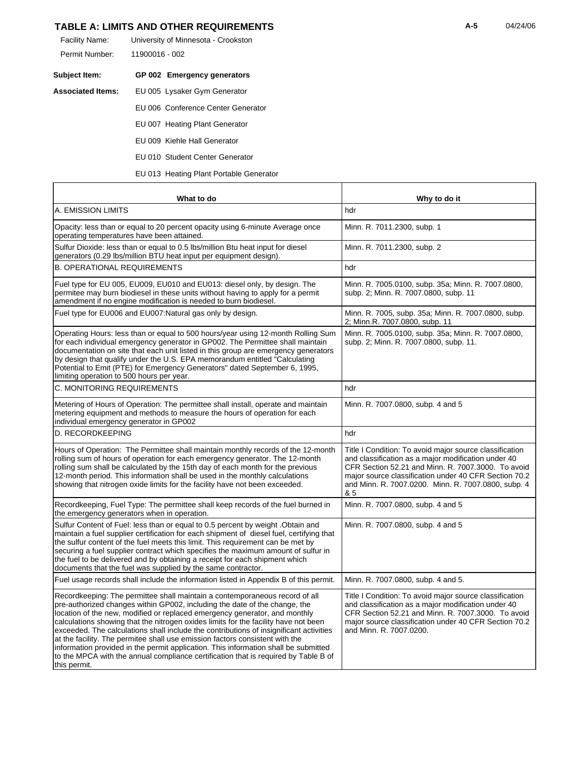### **TABLE A: LIMITS AND OTHER REQUIREMENTS 14/24/06 14/24/06 14/24/06**

| Facility Name: | University of Minnesota - Crookston |
|----------------|-------------------------------------|
| Permit Number: | 11900016 - 002                      |

| Subject Item:     | GP 002 Emergency generators        |
|-------------------|------------------------------------|
| Associated Items: | EU 005 Lysaker Gym Generator       |
|                   | EU 006 Conference Center Generator |

- EU 007 Heating Plant Generator
- EU 009 Kiehle Hall Generator
- EU 010 Student Center Generator
- EU 013 Heating Plant Portable Generator

| What to do                                                                                                                                                                                                                                                                                                                                                                                                                                                                                                                                                                                                                                                                                             | Why to do it                                                                                                                                                                                                                                                                                |
|--------------------------------------------------------------------------------------------------------------------------------------------------------------------------------------------------------------------------------------------------------------------------------------------------------------------------------------------------------------------------------------------------------------------------------------------------------------------------------------------------------------------------------------------------------------------------------------------------------------------------------------------------------------------------------------------------------|---------------------------------------------------------------------------------------------------------------------------------------------------------------------------------------------------------------------------------------------------------------------------------------------|
| A. EMISSION LIMITS                                                                                                                                                                                                                                                                                                                                                                                                                                                                                                                                                                                                                                                                                     | hdr                                                                                                                                                                                                                                                                                         |
| Opacity: less than or equal to 20 percent opacity using 6-minute Average once<br>operating temperatures have been attained.                                                                                                                                                                                                                                                                                                                                                                                                                                                                                                                                                                            | Minn. R. 7011.2300, subp. 1                                                                                                                                                                                                                                                                 |
| Sulfur Dioxide: less than or equal to 0.5 lbs/million Btu heat input for diesel<br>generators (0.29 lbs/million BTU heat input per equipment design).                                                                                                                                                                                                                                                                                                                                                                                                                                                                                                                                                  | Minn. R. 7011.2300, subp. 2                                                                                                                                                                                                                                                                 |
| <b>B. OPERATIONAL REQUIREMENTS</b>                                                                                                                                                                                                                                                                                                                                                                                                                                                                                                                                                                                                                                                                     | hdr                                                                                                                                                                                                                                                                                         |
| Fuel type for EU 005, EU009, EU010 and EU013: diesel only, by design. The<br>permitee may burn biodiesel in these units without having to apply for a permit<br>amendment if no engine modification is needed to burn biodiesel.                                                                                                                                                                                                                                                                                                                                                                                                                                                                       | Minn. R. 7005.0100, subp. 35a; Minn. R. 7007.0800,<br>subp. 2; Minn. R. 7007.0800, subp. 11                                                                                                                                                                                                 |
| Fuel type for EU006 and EU007: Natural gas only by design.                                                                                                                                                                                                                                                                                                                                                                                                                                                                                                                                                                                                                                             | Minn. R. 7005, subp. 35a; Minn. R. 7007.0800, subp.<br>2; Minn.R. 7007.0800, subp. 11                                                                                                                                                                                                       |
| Operating Hours: less than or equal to 500 hours/year using 12-month Rolling Sum<br>for each individual emergency generator in GP002. The Permittee shall maintain<br>documentation on site that each unit listed in this group are emergency generators<br>by design that qualify under the U.S. EPA memorandum entitled "Calculating<br>Potential to Emit (PTE) for Emergency Generators" dated September 6, 1995,<br>limiting operation to 500 hours per year.                                                                                                                                                                                                                                      | Minn. R. 7005.0100, subp. 35a; Minn. R. 7007.0800,<br>subp. 2; Minn. R. 7007.0800, subp. 11.                                                                                                                                                                                                |
| C. MONITORING REQUIREMENTS                                                                                                                                                                                                                                                                                                                                                                                                                                                                                                                                                                                                                                                                             | hdr                                                                                                                                                                                                                                                                                         |
| Metering of Hours of Operation: The permittee shall install, operate and maintain<br>metering equipment and methods to measure the hours of operation for each<br>individual emergency generator in GP002                                                                                                                                                                                                                                                                                                                                                                                                                                                                                              | Minn. R. 7007.0800, subp. 4 and 5                                                                                                                                                                                                                                                           |
| D. RECORDKEEPING                                                                                                                                                                                                                                                                                                                                                                                                                                                                                                                                                                                                                                                                                       | hdr                                                                                                                                                                                                                                                                                         |
| Hours of Operation: The Permittee shall maintain monthly records of the 12-month<br>rolling sum of hours of operation for each emergency generator. The 12-month<br>rolling sum shall be calculated by the 15th day of each month for the previous<br>12-month period. This information shall be used in the monthly calculations<br>showing that nitrogen oxide limits for the facility have not been exceeded.                                                                                                                                                                                                                                                                                       | Title I Condition: To avoid major source classification<br>and classification as a major modification under 40<br>CFR Section 52.21 and Minn, R. 7007.3000. To avoid<br>major source classification under 40 CFR Section 70.2<br>and Minn. R. 7007.0200. Minn. R. 7007.0800, subp. 4<br>& 5 |
| Recordkeeping, Fuel Type: The permittee shall keep records of the fuel burned in<br>the emergency generators when in operation.                                                                                                                                                                                                                                                                                                                                                                                                                                                                                                                                                                        | Minn. R. 7007.0800, subp. 4 and 5                                                                                                                                                                                                                                                           |
| Sulfur Content of Fuel: less than or equal to 0.5 percent by weight . Obtain and<br>maintain a fuel supplier certification for each shipment of diesel fuel, certifying that<br>the sulfur content of the fuel meets this limit. This requirement can be met by<br>securing a fuel supplier contract which specifies the maximum amount of sulfur in<br>the fuel to be delivered and by obtaining a receipt for each shipment which<br>documents that the fuel was supplied by the same contractor.                                                                                                                                                                                                    | Minn. R. 7007.0800, subp. 4 and 5                                                                                                                                                                                                                                                           |
| Fuel usage records shall include the information listed in Appendix B of this permit.                                                                                                                                                                                                                                                                                                                                                                                                                                                                                                                                                                                                                  | Minn. R. 7007.0800, subp. 4 and 5.                                                                                                                                                                                                                                                          |
| Recordkeeping: The permittee shall maintain a contemporaneous record of all<br>pre-authorized changes within GP002, including the date of the change, the<br>location of the new, modified or replaced emergency generator, and monthly<br>calculations showing that the nitrogen oxides limits for the facility have not been<br>exceeded. The calculations shall include the contributions of insignificant activities<br>at the facility. The permitee shall use emission factors consistent with the<br>information provided in the permit application. This information shall be submitted<br>to the MPCA with the annual compliance certification that is required by Table B of<br>this permit. | Title I Condition: To avoid major source classification<br>and classification as a major modification under 40<br>CFR Section 52.21 and Minn. R. 7007.3000. To avoid<br>major source classification under 40 CFR Section 70.2<br>and Minn. R. 7007.0200.                                    |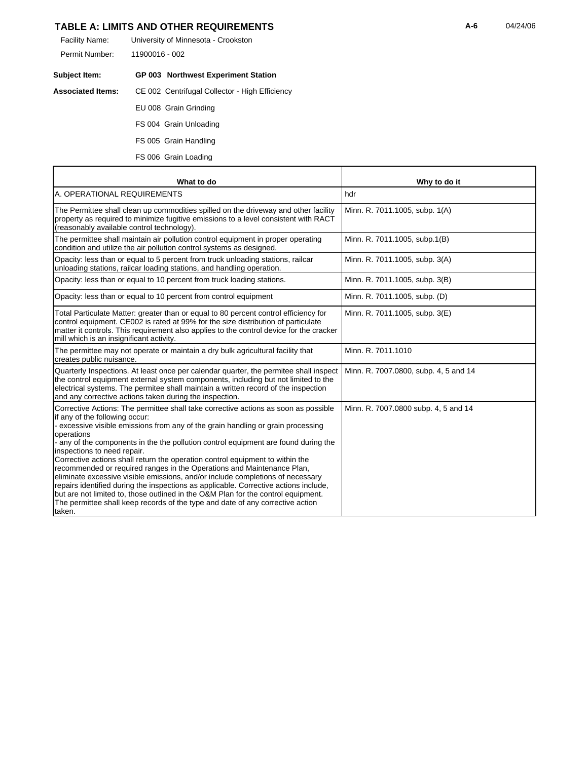## **TABLE A: LIMITS AND OTHER REQUIREMENTS 124/06 14/24/06 14/24/06**

| Facility Name: | University of Minnesota - Crookston |
|----------------|-------------------------------------|
| Permit Number: | 11900016 - 002                      |

| Subject Item:            | <b>GP 003 Northwest Experiment Station</b>     |
|--------------------------|------------------------------------------------|
| <b>Associated Items:</b> | CE 002 Centrifugal Collector - High Efficiency |
|                          | EU 008 Grain Grinding                          |
|                          | FS 004 Grain Unloading                         |
|                          | FS 005 Grain Handling                          |

FS 006 Grain Loading

| What to do                                                                                                                                                                                                                                                                                                                                                                                                                                                                                                                                                                                                                                                                                                                                                                                                                                                          | Why to do it                          |
|---------------------------------------------------------------------------------------------------------------------------------------------------------------------------------------------------------------------------------------------------------------------------------------------------------------------------------------------------------------------------------------------------------------------------------------------------------------------------------------------------------------------------------------------------------------------------------------------------------------------------------------------------------------------------------------------------------------------------------------------------------------------------------------------------------------------------------------------------------------------|---------------------------------------|
| A. OPERATIONAL REQUIREMENTS                                                                                                                                                                                                                                                                                                                                                                                                                                                                                                                                                                                                                                                                                                                                                                                                                                         | hdr                                   |
| The Permittee shall clean up commodities spilled on the driveway and other facility<br>property as required to minimize fugitive emissions to a level consistent with RACT<br>(reasonably available control technology).                                                                                                                                                                                                                                                                                                                                                                                                                                                                                                                                                                                                                                            | Minn. R. 7011.1005, subp. 1(A)        |
| The permittee shall maintain air pollution control equipment in proper operating<br>condition and utilize the air pollution control systems as designed.                                                                                                                                                                                                                                                                                                                                                                                                                                                                                                                                                                                                                                                                                                            | Minn. R. 7011.1005, subp.1(B)         |
| Opacity: less than or equal to 5 percent from truck unloading stations, railcar<br>unloading stations, railcar loading stations, and handling operation.                                                                                                                                                                                                                                                                                                                                                                                                                                                                                                                                                                                                                                                                                                            | Minn. R. 7011.1005, subp. 3(A)        |
| Opacity: less than or equal to 10 percent from truck loading stations.                                                                                                                                                                                                                                                                                                                                                                                                                                                                                                                                                                                                                                                                                                                                                                                              | Minn. R. 7011.1005, subp. 3(B)        |
| Opacity: less than or equal to 10 percent from control equipment                                                                                                                                                                                                                                                                                                                                                                                                                                                                                                                                                                                                                                                                                                                                                                                                    | Minn. R. 7011.1005, subp. (D)         |
| Total Particulate Matter: greater than or equal to 80 percent control efficiency for<br>control equipment. CE002 is rated at 99% for the size distribution of particulate<br>matter it controls. This requirement also applies to the control device for the cracker<br>mill which is an insignificant activity.                                                                                                                                                                                                                                                                                                                                                                                                                                                                                                                                                    | Minn. R. 7011.1005, subp. 3(E)        |
| The permittee may not operate or maintain a dry bulk agricultural facility that<br>creates public nuisance.                                                                                                                                                                                                                                                                                                                                                                                                                                                                                                                                                                                                                                                                                                                                                         | Minn, R. 7011.1010                    |
| Quarterly Inspections. At least once per calendar quarter, the permitee shall inspect<br>the control equipment external system components, including but not limited to the<br>electrical systems. The permitee shall maintain a written record of the inspection<br>and any corrective actions taken during the inspection.                                                                                                                                                                                                                                                                                                                                                                                                                                                                                                                                        | Minn. R. 7007.0800, subp. 4, 5 and 14 |
| Corrective Actions: The permittee shall take corrective actions as soon as possible<br>if any of the following occur:<br>- excessive visible emissions from any of the grain handling or grain processing<br>operations<br>- any of the components in the the pollution control equipment are found during the<br>inspections to need repair.<br>Corrective actions shall return the operation control equipment to within the<br>recommended or required ranges in the Operations and Maintenance Plan,<br>eliminate excessive visible emissions, and/or include completions of necessary<br>repairs identified during the inspections as applicable. Corrective actions include,<br>but are not limited to, those outlined in the O&M Plan for the control equipment.<br>The permittee shall keep records of the type and date of any corrective action<br>taken. | Minn. R. 7007.0800 subp. 4, 5 and 14  |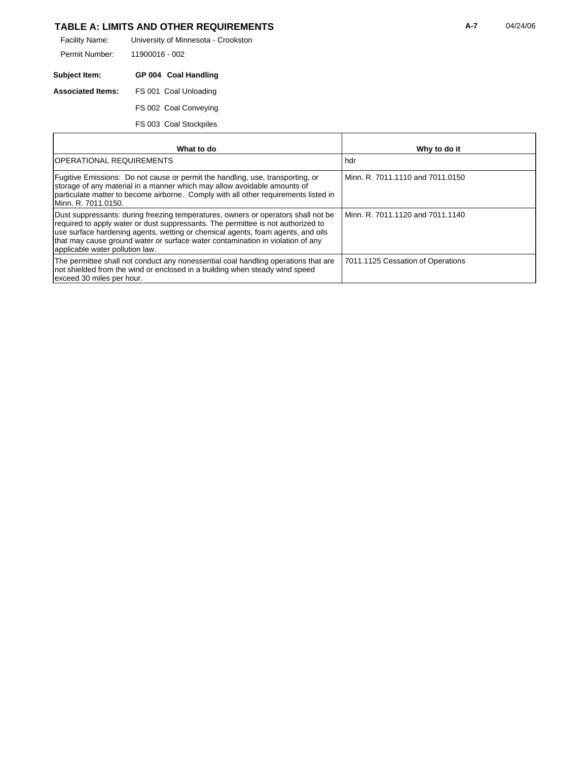## TABLE A: LIMITS AND OTHER REQUIREMENTS **A-7** 04/24/06

University of Minnesota - Crookston 11900016 - 002 Facility Name: Permit Number:

**Subject Item: GP 004 Coal Handling Associated Items:** FS 001 Coal Unloading FS 002 Coal Conveying

FS 003 Coal Stockpiles

| What to do                                                                                                                                                                                                                                                                                                                                                                    | Why to do it                      |
|-------------------------------------------------------------------------------------------------------------------------------------------------------------------------------------------------------------------------------------------------------------------------------------------------------------------------------------------------------------------------------|-----------------------------------|
| IOPERATIONAL REQUIREMENTS                                                                                                                                                                                                                                                                                                                                                     | hdr                               |
| Fugitive Emissions: Do not cause or permit the handling, use, transporting, or<br>storage of any material in a manner which may allow avoidable amounts of<br>particulate matter to become airborne. Comply with all other requirements listed in<br>Minn. R. 7011.0150.                                                                                                      | Minn, R. 7011.1110 and 7011.0150  |
| Dust suppressants: during freezing temperatures, owners or operators shall not be<br>required to apply water or dust suppressants. The permittee is not authorized to<br>use surface hardening agents, wetting or chemical agents, foam agents, and oils<br>that may cause ground water or surface water contamination in violation of any<br>applicable water pollution law. | Minn, R. 7011.1120 and 7011.1140  |
| The permittee shall not conduct any nonessential coal handling operations that are<br>not shielded from the wind or enclosed in a building when steady wind speed<br>exceed 30 miles per hour.                                                                                                                                                                                | 7011.1125 Cessation of Operations |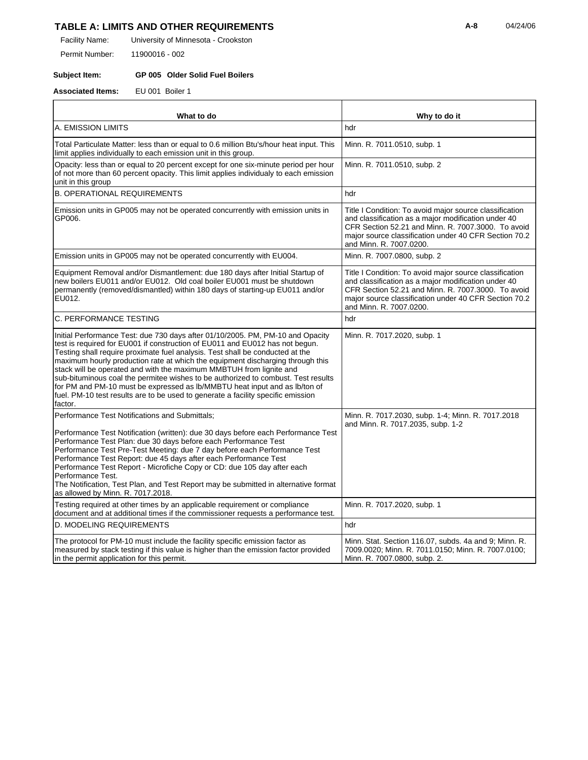## TABLE A: LIMITS AND OTHER REQUIREMENTS **A-8** 04/24/06

University of Minnesota - Crookston Facility Name:

11900016 - 002 Permit Number:

#### **Subject Item: GP 005 Older Solid Fuel Boilers**

**Associated Items:** EU 001 Boiler 1

| What to do                                                                                                                                                                                                                                                                                                                                                                                                                                                                                                                                                                                                                                                                 | Why to do it                                                                                                                                                                                                                                             |
|----------------------------------------------------------------------------------------------------------------------------------------------------------------------------------------------------------------------------------------------------------------------------------------------------------------------------------------------------------------------------------------------------------------------------------------------------------------------------------------------------------------------------------------------------------------------------------------------------------------------------------------------------------------------------|----------------------------------------------------------------------------------------------------------------------------------------------------------------------------------------------------------------------------------------------------------|
| A. EMISSION LIMITS                                                                                                                                                                                                                                                                                                                                                                                                                                                                                                                                                                                                                                                         | hdr                                                                                                                                                                                                                                                      |
| Total Particulate Matter: less than or equal to 0.6 million Btu's/hour heat input. This<br>limit applies individually to each emission unit in this group.                                                                                                                                                                                                                                                                                                                                                                                                                                                                                                                 | Minn. R. 7011.0510, subp. 1                                                                                                                                                                                                                              |
| Opacity: less than or equal to 20 percent except for one six-minute period per hour<br>of not more than 60 percent opacity. This limit applies individualy to each emission<br>unit in this group                                                                                                                                                                                                                                                                                                                                                                                                                                                                          | Minn. R. 7011.0510, subp. 2                                                                                                                                                                                                                              |
| <b>B. OPERATIONAL REQUIREMENTS</b>                                                                                                                                                                                                                                                                                                                                                                                                                                                                                                                                                                                                                                         | hdr                                                                                                                                                                                                                                                      |
| Emission units in GP005 may not be operated concurrently with emission units in<br>GP006.                                                                                                                                                                                                                                                                                                                                                                                                                                                                                                                                                                                  | Title I Condition: To avoid major source classification<br>and classification as a major modification under 40<br>CFR Section 52.21 and Minn. R. 7007.3000. To avoid<br>major source classification under 40 CFR Section 70.2<br>and Minn. R. 7007.0200. |
| Emission units in GP005 may not be operated concurrently with EU004.                                                                                                                                                                                                                                                                                                                                                                                                                                                                                                                                                                                                       | Minn. R. 7007.0800, subp. 2                                                                                                                                                                                                                              |
| Equipment Removal and/or Dismantlement: due 180 days after Initial Startup of<br>new boilers EU011 and/or EU012. Old coal boiler EU001 must be shutdown<br>permanently (removed/dismantled) within 180 days of starting-up EU011 and/or<br>EU012.                                                                                                                                                                                                                                                                                                                                                                                                                          | Title I Condition: To avoid major source classification<br>and classification as a major modification under 40<br>CFR Section 52.21 and Minn. R. 7007.3000. To avoid<br>major source classification under 40 CFR Section 70.2<br>and Minn. R. 7007.0200. |
| C. PERFORMANCE TESTING                                                                                                                                                                                                                                                                                                                                                                                                                                                                                                                                                                                                                                                     | hdr                                                                                                                                                                                                                                                      |
| Initial Performance Test: due 730 days after 01/10/2005. PM, PM-10 and Opacity<br>test is required for EU001 if construction of EU011 and EU012 has not begun.<br>Testing shall require proximate fuel analysis. Test shall be conducted at the<br>maximum hourly production rate at which the equipment discharging through this<br>stack will be operated and with the maximum MMBTUH from lignite and<br>sub-bituminous coal the permitee wishes to be authorized to combust. Test results<br>for PM and PM-10 must be expressed as Ib/MMBTU heat input and as Ib/ton of<br>fuel. PM-10 test results are to be used to generate a facility specific emission<br>factor. | Minn. R. 7017.2020, subp. 1                                                                                                                                                                                                                              |
| Performance Test Notifications and Submittals;<br>Performance Test Notification (written): due 30 days before each Performance Test<br>Performance Test Plan: due 30 days before each Performance Test<br>Performance Test Pre-Test Meeting: due 7 day before each Performance Test<br>Performance Test Report: due 45 days after each Performance Test<br>Performance Test Report - Microfiche Copy or CD: due 105 day after each<br>Performance Test.<br>The Notification, Test Plan, and Test Report may be submitted in alternative format<br>as allowed by Minn. R. 7017.2018.                                                                                        | Minn. R. 7017.2030, subp. 1-4; Minn. R. 7017.2018<br>and Minn. R. 7017.2035, subp. 1-2                                                                                                                                                                   |
| Testing required at other times by an applicable requirement or compliance<br>document and at additional times if the commissioner requests a performance test.                                                                                                                                                                                                                                                                                                                                                                                                                                                                                                            | Minn. R. 7017.2020, subp. 1                                                                                                                                                                                                                              |
| D. MODELING REQUIREMENTS                                                                                                                                                                                                                                                                                                                                                                                                                                                                                                                                                                                                                                                   | hdr                                                                                                                                                                                                                                                      |
| The protocol for PM-10 must include the facility specific emission factor as<br>measured by stack testing if this value is higher than the emission factor provided<br>in the permit application for this permit.                                                                                                                                                                                                                                                                                                                                                                                                                                                          | Minn. Stat. Section 116.07, subds. 4a and 9; Minn. R.<br>7009.0020; Minn. R. 7011.0150; Minn. R. 7007.0100;<br>Minn. R. 7007.0800, subp. 2.                                                                                                              |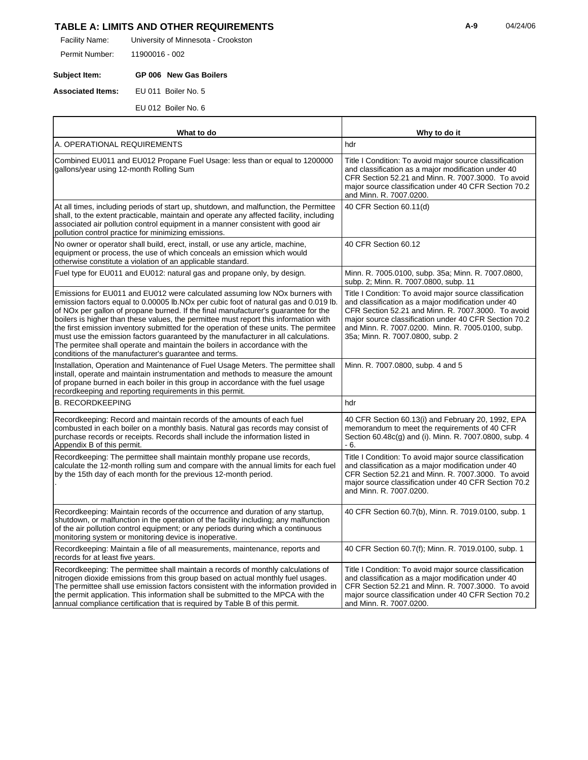## **TABLE A: LIMITS AND OTHER REQUIREMENTS 124/06 124/06 124/06 124/06**

University of Minnesota - Crookston Facility Name:

11900016 - 002 Permit Number:

### **Subject Item: GP 006 New Gas Boilers**

**Associated Items:** EU 011 Boiler No. 5

EU 012 Boiler No. 6

| What to do                                                                                                                                                                                                                                                                                                                                                                                                                                                                                                                                                                                                                                                                        | Why to do it                                                                                                                                                                                                                                                                                                           |
|-----------------------------------------------------------------------------------------------------------------------------------------------------------------------------------------------------------------------------------------------------------------------------------------------------------------------------------------------------------------------------------------------------------------------------------------------------------------------------------------------------------------------------------------------------------------------------------------------------------------------------------------------------------------------------------|------------------------------------------------------------------------------------------------------------------------------------------------------------------------------------------------------------------------------------------------------------------------------------------------------------------------|
| A. OPERATIONAL REQUIREMENTS                                                                                                                                                                                                                                                                                                                                                                                                                                                                                                                                                                                                                                                       | hdr                                                                                                                                                                                                                                                                                                                    |
| Combined EU011 and EU012 Propane Fuel Usage: less than or equal to 1200000<br>gallons/year using 12-month Rolling Sum                                                                                                                                                                                                                                                                                                                                                                                                                                                                                                                                                             | Title I Condition: To avoid major source classification<br>and classification as a major modification under 40<br>CFR Section 52.21 and Minn. R. 7007.3000. To avoid<br>major source classification under 40 CFR Section 70.2<br>and Minn. R. 7007.0200.                                                               |
| At all times, including periods of start up, shutdown, and malfunction, the Permittee<br>shall, to the extent practicable, maintain and operate any affected facility, including<br>associated air pollution control equipment in a manner consistent with good air<br>pollution control practice for minimizing emissions.                                                                                                                                                                                                                                                                                                                                                       | 40 CFR Section 60.11(d)                                                                                                                                                                                                                                                                                                |
| No owner or operator shall build, erect, install, or use any article, machine,<br>equipment or process, the use of which conceals an emission which would<br>otherwise constitute a violation of an applicable standard.                                                                                                                                                                                                                                                                                                                                                                                                                                                          | 40 CFR Section 60.12                                                                                                                                                                                                                                                                                                   |
| Fuel type for EU011 and EU012: natural gas and propane only, by design.                                                                                                                                                                                                                                                                                                                                                                                                                                                                                                                                                                                                           | Minn. R. 7005.0100, subp. 35a; Minn. R. 7007.0800,<br>subp. 2; Minn. R. 7007.0800, subp. 11                                                                                                                                                                                                                            |
| Emissions for EU011 and EU012 were calculated assuming low NOx burners with<br>emission factors equal to 0.00005 lb.NOx per cubic foot of natural gas and 0.019 lb<br>of NO <sub>x</sub> per gallon of propane burned. If the final manufacturer's guarantee for the<br>boilers is higher than these values, the permittee must report this information with<br>the first emission inventory submitted for the operation of these units. The permitee<br>must use the emission factors guaranteed by the manufacturer in all calculations.<br>The permitee shall operate and maintain the boilers in accordance with the<br>conditions of the manufacturer's guarantee and terms. | Title I Condition: To avoid major source classification<br>and classification as a major modification under 40<br>CFR Section 52.21 and Minn. R. 7007.3000. To avoid<br>major source classification under 40 CFR Section 70.2<br>and Minn. R. 7007.0200. Minn. R. 7005.0100, subp.<br>35a; Minn. R. 7007.0800, subp. 2 |
| Installation, Operation and Maintenance of Fuel Usage Meters. The permittee shall<br>install, operate and maintain instrumentation and methods to measure the amount<br>of propane burned in each boiler in this group in accordance with the fuel usage<br>recordkeeping and reporting requirements in this permit.                                                                                                                                                                                                                                                                                                                                                              | Minn. R. 7007.0800, subp. 4 and 5                                                                                                                                                                                                                                                                                      |
| <b>B. RECORDKEEPING</b>                                                                                                                                                                                                                                                                                                                                                                                                                                                                                                                                                                                                                                                           | hdr                                                                                                                                                                                                                                                                                                                    |
| Recordkeeping: Record and maintain records of the amounts of each fuel<br>combusted in each boiler on a monthly basis. Natural gas records may consist of<br>purchase records or receipts. Records shall include the information listed in<br>Appendix B of this permit.                                                                                                                                                                                                                                                                                                                                                                                                          | 40 CFR Section 60.13(i) and February 20, 1992, EPA<br>memorandum to meet the requirements of 40 CFR<br>Section 60.48c(g) and (i). Minn. R. 7007.0800, subp. 4<br>- 6.                                                                                                                                                  |
| Recordkeeping: The permittee shall maintain monthly propane use records,<br>calculate the 12-month rolling sum and compare with the annual limits for each fuel<br>by the 15th day of each month for the previous 12-month period.                                                                                                                                                                                                                                                                                                                                                                                                                                                | Title I Condition: To avoid major source classification<br>and classification as a major modification under 40<br>CFR Section 52.21 and Minn. R. 7007.3000. To avoid<br>major source classification under 40 CFR Section 70.2<br>and Minn. R. 7007.0200.                                                               |
| Recordkeeping: Maintain records of the occurrence and duration of any startup,<br>shutdown, or malfunction in the operation of the facility including; any malfunction<br>of the air pollution control equipment; or any periods during which a continuous<br>monitoring system or monitoring device is inoperative.                                                                                                                                                                                                                                                                                                                                                              | 40 CFR Section 60.7(b), Minn. R. 7019.0100, subp. 1                                                                                                                                                                                                                                                                    |
| Recordkeeping: Maintain a file of all measurements, maintenance, reports and<br>records for at least five years.                                                                                                                                                                                                                                                                                                                                                                                                                                                                                                                                                                  | 40 CFR Section 60.7(f); Minn. R. 7019.0100, subp. 1                                                                                                                                                                                                                                                                    |
| Recordkeeping: The permittee shall maintain a records of monthly calculations of<br>nitrogen dioxide emissions from this group based on actual monthly fuel usages.<br>The permittee shall use emission factors consistent with the information provided in<br>the permit application. This information shall be submitted to the MPCA with the<br>annual compliance certification that is required by Table B of this permit.                                                                                                                                                                                                                                                    | Title I Condition: To avoid major source classification<br>and classification as a major modification under 40<br>CFR Section 52.21 and Minn. R. 7007.3000. To avoid<br>major source classification under 40 CFR Section 70.2<br>and Minn. R. 7007.0200.                                                               |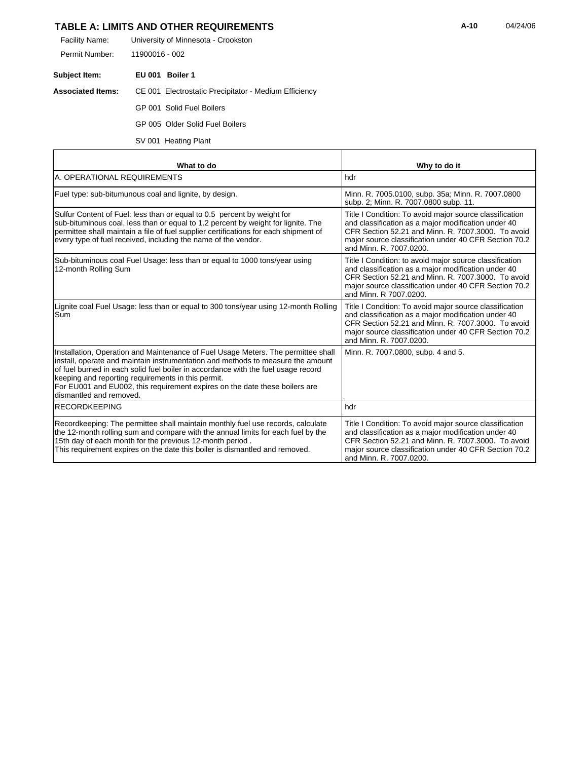## **TABLE A: LIMITS AND OTHER REQUIREMENTS 124/06 14/24/06 14/24/06**

| Facility Name: | University of Minnesota - Crookston |
|----------------|-------------------------------------|
|                |                                     |

11900016 - 002 Permit Number:

**Subject Item: EU 001 Boiler 1**

r

#### **Associated Items:** CE 001 Electrostatic Precipitator - Medium Efficiency

GP 001 Solid Fuel Boilers

GP 005 Older Solid Fuel Boilers

SV 001 Heating Plant

| What to do                                                                                                                                                                                                                                                                                                                                                                                                                | Why to do it                                                                                                                                                                                                                                             |
|---------------------------------------------------------------------------------------------------------------------------------------------------------------------------------------------------------------------------------------------------------------------------------------------------------------------------------------------------------------------------------------------------------------------------|----------------------------------------------------------------------------------------------------------------------------------------------------------------------------------------------------------------------------------------------------------|
| A. OPERATIONAL REQUIREMENTS                                                                                                                                                                                                                                                                                                                                                                                               | hdr                                                                                                                                                                                                                                                      |
| Fuel type: sub-bitumunous coal and lignite, by design.                                                                                                                                                                                                                                                                                                                                                                    | Minn. R. 7005.0100, subp. 35a; Minn. R. 7007.0800<br>subp. 2; Minn. R. 7007.0800 subp. 11.                                                                                                                                                               |
| Sulfur Content of Fuel: less than or equal to 0.5 percent by weight for<br>sub-bituminous coal, less than or equal to 1.2 percent by weight for lignite. The<br>permittee shall maintain a file of fuel supplier certifications for each shipment of<br>every type of fuel received, including the name of the vendor.                                                                                                    | Title I Condition: To avoid major source classification<br>and classification as a major modification under 40<br>CFR Section 52.21 and Minn, R. 7007.3000. To avoid<br>major source classification under 40 CFR Section 70.2<br>and Minn, R. 7007.0200. |
| Sub-bituminous coal Fuel Usage: less than or equal to 1000 tons/year using<br>12-month Rolling Sum                                                                                                                                                                                                                                                                                                                        | Title I Condition: to avoid major source classification<br>and classification as a major modification under 40<br>CFR Section 52.21 and Minn. R. 7007.3000. To avoid<br>major source classification under 40 CFR Section 70.2<br>and Minn. R 7007.0200.  |
| Lignite coal Fuel Usage: less than or equal to 300 tons/year using 12-month Rolling<br>Sum                                                                                                                                                                                                                                                                                                                                | Title I Condition: To avoid major source classification<br>and classification as a major modification under 40<br>CFR Section 52.21 and Minn, R. 7007.3000. To avoid<br>major source classification under 40 CFR Section 70.2<br>and Minn, R. 7007.0200. |
| Installation, Operation and Maintenance of Fuel Usage Meters. The permittee shall<br>install, operate and maintain instrumentation and methods to measure the amount<br>of fuel burned in each solid fuel boiler in accordance with the fuel usage record<br>keeping and reporting requirements in this permit.<br>For EU001 and EU002, this requirement expires on the date these boilers are<br>dismantled and removed. | Minn. R. 7007.0800, subp. 4 and 5.                                                                                                                                                                                                                       |
| <b>IRECORDKEEPING</b>                                                                                                                                                                                                                                                                                                                                                                                                     | hdr                                                                                                                                                                                                                                                      |
| Recordkeeping: The permittee shall maintain monthly fuel use records, calculate<br>the 12-month rolling sum and compare with the annual limits for each fuel by the<br>15th day of each month for the previous 12-month period.<br>This requirement expires on the date this boiler is dismantled and removed.                                                                                                            | Title I Condition: To avoid major source classification<br>and classification as a major modification under 40<br>CFR Section 52.21 and Minn, R. 7007.3000. To avoid<br>major source classification under 40 CFR Section 70.2<br>and Minn, R. 7007.0200. |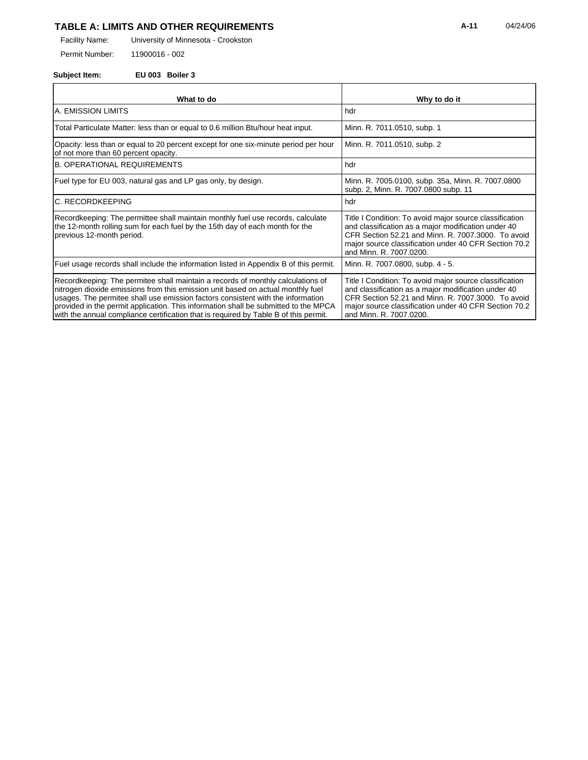## TABLE A: LIMITS AND OTHER REQUIREMENTS **A-11** 04/24/06

University of Minnesota - Crookston Facility Name:

11900016 - 002 Permit Number:

### **Subject Item: EU 003 Boiler 3**

| What to do                                                                                                                                                                                                                                                                                                                                                                                                                           | Why to do it                                                                                                                                                                                                                                             |
|--------------------------------------------------------------------------------------------------------------------------------------------------------------------------------------------------------------------------------------------------------------------------------------------------------------------------------------------------------------------------------------------------------------------------------------|----------------------------------------------------------------------------------------------------------------------------------------------------------------------------------------------------------------------------------------------------------|
| IA. EMISSION LIMITS                                                                                                                                                                                                                                                                                                                                                                                                                  | hdr                                                                                                                                                                                                                                                      |
| Total Particulate Matter: less than or equal to 0.6 million Btu/hour heat input.                                                                                                                                                                                                                                                                                                                                                     | Minn. R. 7011.0510, subp. 1                                                                                                                                                                                                                              |
| Opacity: less than or equal to 20 percent except for one six-minute period per hour<br>of not more than 60 percent opacity.                                                                                                                                                                                                                                                                                                          | Minn. R. 7011.0510, subp. 2                                                                                                                                                                                                                              |
| <b>B. OPERATIONAL REQUIREMENTS</b>                                                                                                                                                                                                                                                                                                                                                                                                   | hdr                                                                                                                                                                                                                                                      |
| Fuel type for EU 003, natural gas and LP gas only, by design.                                                                                                                                                                                                                                                                                                                                                                        | Minn. R. 7005.0100, subp. 35a, Minn. R. 7007.0800<br>subp. 2, Minn. R. 7007.0800 subp. 11                                                                                                                                                                |
| IC. RECORDKEEPING                                                                                                                                                                                                                                                                                                                                                                                                                    | hdr                                                                                                                                                                                                                                                      |
| Recordkeeping: The permittee shall maintain monthly fuel use records, calculate<br>the 12-month rolling sum for each fuel by the 15th day of each month for the<br>previous 12-month period.                                                                                                                                                                                                                                         | Title I Condition: To avoid major source classification<br>and classification as a major modification under 40<br>CFR Section 52.21 and Minn, R. 7007.3000. To avoid<br>major source classification under 40 CFR Section 70.2<br>and Minn, R. 7007.0200. |
| Fuel usage records shall include the information listed in Appendix B of this permit.                                                                                                                                                                                                                                                                                                                                                | Minn. R. 7007.0800, subp. 4 - 5.                                                                                                                                                                                                                         |
| Recordkeeping: The permitee shall maintain a records of monthly calculations of<br>nitrogen dioxide emissions from this emission unit based on actual monthly fuel<br>usages. The permitee shall use emission factors consistent with the information<br>provided in the permit application. This information shall be submitted to the MPCA<br>with the annual compliance certification that is required by Table B of this permit. | Title I Condition: To avoid major source classification<br>and classification as a major modification under 40<br>CFR Section 52.21 and Minn, R. 7007.3000. To avoid<br>major source classification under 40 CFR Section 70.2<br>and Minn. R. 7007.0200. |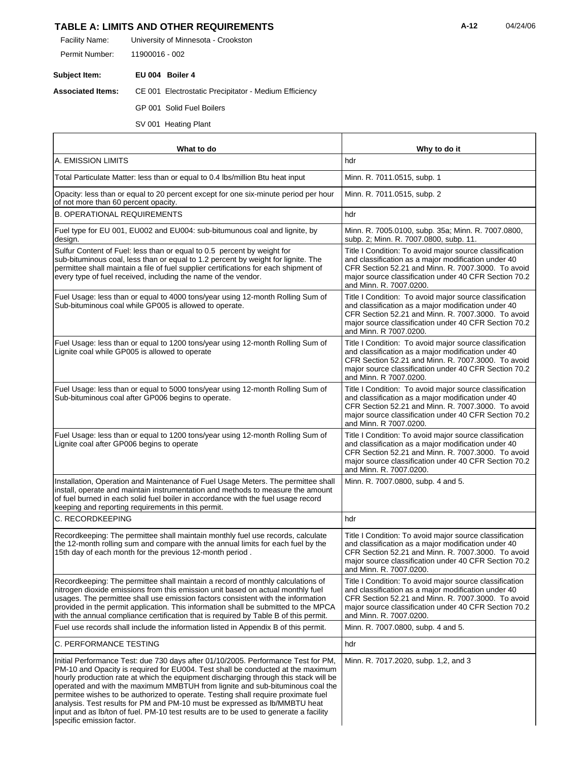## **TABLE A: LIMITS AND OTHER REQUIREMENTS A-12** 04/24/06

University of Minnesota - Crookston Facility Name:

11900016 - 002 Permit Number:

**Subject Item: EU 004 Boiler 4**

**Associated Items:** CE 001 Electrostatic Precipitator - Medium Efficiency

GP 001 Solid Fuel Boilers

SV 001 Heating Plant

| What to do                                                                                                                                                                                                                                                                                                                                                                                                                                                                                                                                                                                                                             | Why to do it                                                                                                                                                                                                                                             |
|----------------------------------------------------------------------------------------------------------------------------------------------------------------------------------------------------------------------------------------------------------------------------------------------------------------------------------------------------------------------------------------------------------------------------------------------------------------------------------------------------------------------------------------------------------------------------------------------------------------------------------------|----------------------------------------------------------------------------------------------------------------------------------------------------------------------------------------------------------------------------------------------------------|
| A. EMISSION LIMITS                                                                                                                                                                                                                                                                                                                                                                                                                                                                                                                                                                                                                     | hdr                                                                                                                                                                                                                                                      |
| Total Particulate Matter: less than or equal to 0.4 lbs/million Btu heat input                                                                                                                                                                                                                                                                                                                                                                                                                                                                                                                                                         | Minn. R. 7011.0515, subp. 1                                                                                                                                                                                                                              |
| Opacity: less than or equal to 20 percent except for one six-minute period per hour<br>of not more than 60 percent opacity.                                                                                                                                                                                                                                                                                                                                                                                                                                                                                                            | Minn. R. 7011.0515, subp. 2                                                                                                                                                                                                                              |
| <b>B. OPERATIONAL REQUIREMENTS</b>                                                                                                                                                                                                                                                                                                                                                                                                                                                                                                                                                                                                     | hdr                                                                                                                                                                                                                                                      |
| Fuel type for EU 001, EU002 and EU004: sub-bitumunous coal and lignite, by<br>design.                                                                                                                                                                                                                                                                                                                                                                                                                                                                                                                                                  | Minn. R. 7005.0100, subp. 35a; Minn. R. 7007.0800,<br>subp. 2; Minn. R. 7007.0800, subp. 11.                                                                                                                                                             |
| Sulfur Content of Fuel: less than or equal to 0.5 percent by weight for<br>sub-bituminous coal, less than or equal to 1.2 percent by weight for lignite. The<br>permittee shall maintain a file of fuel supplier certifications for each shipment of<br>every type of fuel received, including the name of the vendor.                                                                                                                                                                                                                                                                                                                 | Title I Condition: To avoid major source classification<br>and classification as a major modification under 40<br>CFR Section 52.21 and Minn. R. 7007.3000. To avoid<br>major source classification under 40 CFR Section 70.2<br>and Minn. R. 7007.0200. |
| Fuel Usage: less than or equal to 4000 tons/year using 12-month Rolling Sum of<br>Sub-bituminous coal while GP005 is allowed to operate.                                                                                                                                                                                                                                                                                                                                                                                                                                                                                               | Title I Condition: To avoid major source classification<br>and classification as a major modification under 40<br>CFR Section 52.21 and Minn. R. 7007.3000. To avoid<br>major source classification under 40 CFR Section 70.2<br>and Minn, R 7007,0200.  |
| Fuel Usage: less than or equal to 1200 tons/year using 12-month Rolling Sum of<br>Lignite coal while GP005 is allowed to operate                                                                                                                                                                                                                                                                                                                                                                                                                                                                                                       | Title I Condition: To avoid major source classification<br>and classification as a major modification under 40<br>CFR Section 52.21 and Minn. R. 7007.3000. To avoid<br>major source classification under 40 CFR Section 70.2<br>and Minn. R 7007.0200.  |
| Fuel Usage: less than or equal to 5000 tons/year using 12-month Rolling Sum of<br>Sub-bituminous coal after GP006 begins to operate.                                                                                                                                                                                                                                                                                                                                                                                                                                                                                                   | Title I Condition: To avoid major source classification<br>and classification as a major modification under 40<br>CFR Section 52.21 and Minn. R. 7007.3000. To avoid<br>major source classification under 40 CFR Section 70.2<br>and Minn. R 7007.0200.  |
| Fuel Usage: less than or equal to 1200 tons/year using 12-month Rolling Sum of<br>Lignite coal after GP006 begins to operate                                                                                                                                                                                                                                                                                                                                                                                                                                                                                                           | Title I Condition: To avoid major source classification<br>and classification as a major modification under 40<br>CFR Section 52.21 and Minn. R. 7007.3000. To avoid<br>major source classification under 40 CFR Section 70.2<br>and Minn. R. 7007.0200. |
| Installation, Operation and Maintenance of Fuel Usage Meters. The permittee shall<br>install, operate and maintain instrumentation and methods to measure the amount<br>of fuel burned in each solid fuel boiler in accordance with the fuel usage record<br>keeping and reporting requirements in this permit.                                                                                                                                                                                                                                                                                                                        | Minn. R. 7007.0800, subp. 4 and 5.                                                                                                                                                                                                                       |
| C. RECORDKEEPING                                                                                                                                                                                                                                                                                                                                                                                                                                                                                                                                                                                                                       | hdr                                                                                                                                                                                                                                                      |
| Recordkeeping: The permittee shall maintain monthly fuel use records, calculate<br>the 12-month rolling sum and compare with the annual limits for each fuel by the<br>15th day of each month for the previous 12-month period.                                                                                                                                                                                                                                                                                                                                                                                                        | Title I Condition: To avoid major source classification<br>and classification as a major modification under 40<br>CFR Section 52.21 and Minn. R. 7007.3000. To avoid<br>major source classification under 40 CFR Section 70.2<br>and Minn. R. 7007.0200. |
| Recordkeeping: The permittee shall maintain a record of monthly calculations of<br>nitrogen dioxide emissions from this emission unit based on actual monthly fuel<br>usages. The permittee shall use emission factors consistent with the information<br>provided in the permit application. This information shall be submitted to the MPCA<br>with the annual compliance certification that is required by Table B of this permit.                                                                                                                                                                                                  | Title I Condition: To avoid major source classification<br>and classification as a major modification under 40<br>CFR Section 52.21 and Minn. R. 7007.3000. To avoid<br>major source classification under 40 CFR Section 70.2<br>and Minn. R. 7007.0200. |
| Fuel use records shall include the information listed in Appendix B of this permit.                                                                                                                                                                                                                                                                                                                                                                                                                                                                                                                                                    | Minn. R. 7007.0800, subp. 4 and 5.                                                                                                                                                                                                                       |
| C. PERFORMANCE TESTING                                                                                                                                                                                                                                                                                                                                                                                                                                                                                                                                                                                                                 | hdr                                                                                                                                                                                                                                                      |
| Initial Performance Test: due 730 days after 01/10/2005. Performance Test for PM,<br>PM-10 and Opacity is required for EU004. Test shall be conducted at the maximum<br>hourly production rate at which the equipment discharging through this stack will be<br>operated and with the maximum MMBTUH from lignite and sub-bituminous coal the<br>permitee wishes to be authorized to operate. Testing shall require proximate fuel<br>analysis. Test results for PM and PM-10 must be expressed as Ib/MMBTU heat<br>input and as Ib/ton of fuel. PM-10 test results are to be used to generate a facility<br>specific emission factor. | Minn. R. 7017.2020, subp. 1,2, and 3                                                                                                                                                                                                                     |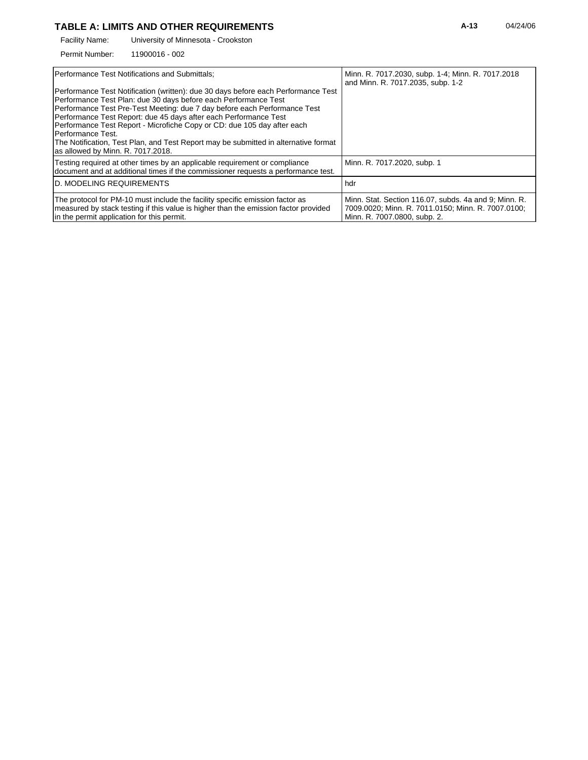### TABLE A: LIMITS AND OTHER REQUIREMENTS **A-13** 04/24/06

University of Minnesota - Crookston Facility Name:

11900016 - 002 Permit Number:

| <b>IPerformance Test Notifications and Submittals:</b>                                                                                                                                                                                                                                                                                                                                                                                                                                                                            | Minn. R. 7017.2030, subp. 1-4; Minn. R. 7017.2018<br>and Minn. R. 7017.2035, subp. 1-2                                                      |
|-----------------------------------------------------------------------------------------------------------------------------------------------------------------------------------------------------------------------------------------------------------------------------------------------------------------------------------------------------------------------------------------------------------------------------------------------------------------------------------------------------------------------------------|---------------------------------------------------------------------------------------------------------------------------------------------|
| Performance Test Notification (written): due 30 days before each Performance Test<br>Performance Test Plan: due 30 days before each Performance Test<br>Performance Test Pre-Test Meeting: due 7 day before each Performance Test<br>Performance Test Report: due 45 days after each Performance Test<br>Performance Test Report - Microfiche Copy or CD: due 105 day after each<br>Performance Test.<br>The Notification, Test Plan, and Test Report may be submitted in alternative format<br>as allowed by Minn. R. 7017.2018. |                                                                                                                                             |
| Testing required at other times by an applicable requirement or compliance<br>document and at additional times if the commissioner requests a performance test.                                                                                                                                                                                                                                                                                                                                                                   | Minn. R. 7017.2020, subp. 1                                                                                                                 |
| <b>ID. MODELING REQUIREMENTS</b>                                                                                                                                                                                                                                                                                                                                                                                                                                                                                                  | hdr                                                                                                                                         |
| The protocol for PM-10 must include the facility specific emission factor as<br>measured by stack testing if this value is higher than the emission factor provided<br>in the permit application for this permit.                                                                                                                                                                                                                                                                                                                 | Minn. Stat. Section 116.07, subds. 4a and 9; Minn. R.<br>7009.0020; Minn. R. 7011.0150; Minn. R. 7007.0100;<br>Minn. R. 7007.0800, subp. 2. |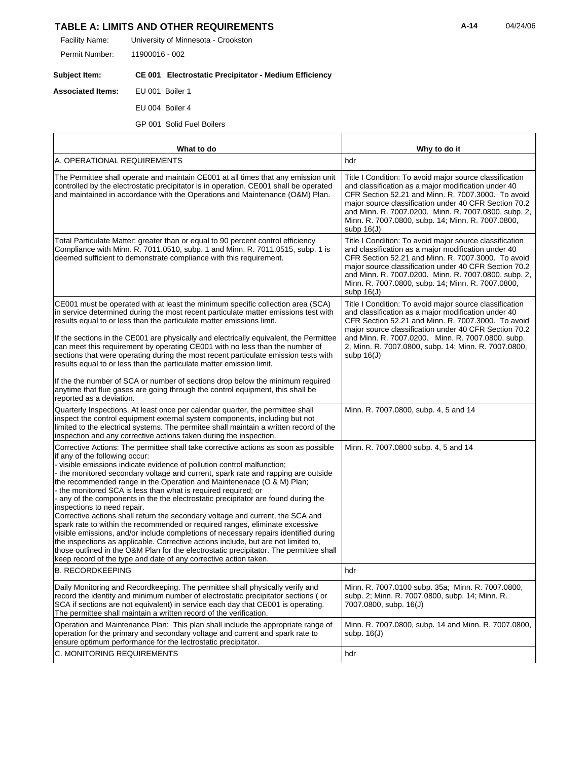## TABLE A: LIMITS AND OTHER REQUIREMENTS **A-14** 04/24/06

University of Minnesota - Crookston Facility Name:

11900016 - 002 Permit Number:

#### **Subject Item: CE 001 Electrostatic Precipitator - Medium Efficiency**

**Associated Items:** EU 001 Boiler 1

r

EU 004 Boiler 4

GP 001 Solid Fuel Boilers

| What to do                                                                                                                                                                                                                                                                                                                                                                                                                                                                                                                                                                                                                                                                                                                                                                                                                                                                                                                                                                                                                                                        | Why to do it                                                                                                                                                                                                                                                                                                                                               |
|-------------------------------------------------------------------------------------------------------------------------------------------------------------------------------------------------------------------------------------------------------------------------------------------------------------------------------------------------------------------------------------------------------------------------------------------------------------------------------------------------------------------------------------------------------------------------------------------------------------------------------------------------------------------------------------------------------------------------------------------------------------------------------------------------------------------------------------------------------------------------------------------------------------------------------------------------------------------------------------------------------------------------------------------------------------------|------------------------------------------------------------------------------------------------------------------------------------------------------------------------------------------------------------------------------------------------------------------------------------------------------------------------------------------------------------|
| A. OPERATIONAL REQUIREMENTS                                                                                                                                                                                                                                                                                                                                                                                                                                                                                                                                                                                                                                                                                                                                                                                                                                                                                                                                                                                                                                       | hdr                                                                                                                                                                                                                                                                                                                                                        |
| The Permittee shall operate and maintain CE001 at all times that any emission unit<br>controlled by the electrostatic precipitator is in operation. CE001 shall be operated<br>and maintained in accordance with the Operations and Maintenance (O&M) Plan.                                                                                                                                                                                                                                                                                                                                                                                                                                                                                                                                                                                                                                                                                                                                                                                                       | Title I Condition: To avoid major source classification<br>and classification as a major modification under 40<br>CFR Section 52.21 and Minn. R. 7007.3000. To avoid<br>major source classification under 40 CFR Section 70.2<br>and Minn. R. 7007.0200. Minn. R. 7007.0800, subp. 2,<br>Minn. R. 7007.0800, subp. 14; Minn. R. 7007.0800,<br>subp $16(J)$ |
| Total Particulate Matter: greater than or equal to 90 percent control efficiency<br>Compliance with Minn. R. 7011.0510, subp. 1 and Minn. R. 7011.0515, subp. 1 is<br>deemed sufficient to demonstrate compliance with this requirement.                                                                                                                                                                                                                                                                                                                                                                                                                                                                                                                                                                                                                                                                                                                                                                                                                          | Title I Condition: To avoid major source classification<br>and classification as a major modification under 40<br>CFR Section 52.21 and Minn. R. 7007.3000. To avoid<br>major source classification under 40 CFR Section 70.2<br>and Minn. R. 7007.0200. Minn. R. 7007.0800, subp. 2,<br>Minn. R. 7007.0800, subp. 14; Minn. R. 7007.0800,<br>subp $16(J)$ |
| CE001 must be operated with at least the minimum specific collection area (SCA)<br>in service determined during the most recent particulate matter emissions test with<br>results equal to or less than the particulate matter emissions limit.<br>If the sections in the CE001 are physically and electrically equivalent, the Permittee<br>can meet this requirement by operating CE001 with no less than the number of<br>sections that were operating during the most recent particulate emission tests with<br>results equal to or less than the particulate matter emission limit.                                                                                                                                                                                                                                                                                                                                                                                                                                                                          | Title I Condition: To avoid major source classification<br>and classification as a major modification under 40<br>CFR Section 52.21 and Minn. R. 7007.3000. To avoid<br>major source classification under 40 CFR Section 70.2<br>and Minn. R. 7007.0200. Minn. R. 7007.0800, subp.<br>2, Minn. R. 7007.0800, subp. 14; Minn. R. 7007.0800,<br>subp $16(J)$ |
| If the the number of SCA or number of sections drop below the minimum required<br>anytime that flue gases are going through the control equipment, this shall be<br>reported as a deviation.                                                                                                                                                                                                                                                                                                                                                                                                                                                                                                                                                                                                                                                                                                                                                                                                                                                                      |                                                                                                                                                                                                                                                                                                                                                            |
| Quarterly Inspections. At least once per calendar quarter, the permittee shall<br>inspect the control equipment external system components, including but not<br>limited to the electrical systems. The permitee shall maintain a written record of the<br>inspection and any corrective actions taken during the inspection.                                                                                                                                                                                                                                                                                                                                                                                                                                                                                                                                                                                                                                                                                                                                     | Minn. R. 7007.0800, subp. 4, 5 and 14                                                                                                                                                                                                                                                                                                                      |
| Corrective Actions: The permittee shall take corrective actions as soon as possible<br>if any of the following occur:<br>- visible emissions indicate evidence of pollution control malfunction;<br>- the monitored secondary voltage and current, spark rate and rapping are outside<br>the recommended range in the Operation and Maintenenace (O & M) Plan;<br>- the monitored SCA is less than what is required required; or<br>any of the components in the the electrostatic precipitator are found during the<br>inspections to need repair.<br>Corrective actions shall return the secondary voltage and current, the SCA and<br>spark rate to within the recommended or required ranges, eliminate excessive<br>visible emissions, and/or include completions of necessary repairs identified during<br>the inspections as applicable. Corrective actions include, but are not limited to,<br>those outlined in the O&M Plan for the electrostatic precipitator. The permittee shall<br>keep record of the type and date of any corrective action taken. | Minn. R. 7007.0800 subp. 4, 5 and 14                                                                                                                                                                                                                                                                                                                       |
| <b>B. RECORDKEEPING</b>                                                                                                                                                                                                                                                                                                                                                                                                                                                                                                                                                                                                                                                                                                                                                                                                                                                                                                                                                                                                                                           | hdr                                                                                                                                                                                                                                                                                                                                                        |
| Daily Monitoring and Recordkeeping. The permittee shall physically verify and<br>record the identity and minimum number of electrostatic precipitator sections (or<br>SCA if sections are not equivalent) in service each day that CE001 is operating.<br>The permittee shall maintain a written record of the verification.                                                                                                                                                                                                                                                                                                                                                                                                                                                                                                                                                                                                                                                                                                                                      | Minn. R. 7007.0100 subp. 35a; Minn. R. 7007.0800,<br>subp. 2; Minn. R. 7007.0800, subp. 14; Minn. R.<br>7007.0800, subp. 16(J)                                                                                                                                                                                                                             |
| Operation and Maintenance Plan: This plan shall include the appropriate range of<br>operation for the primary and secondary voltage and current and spark rate to<br>ensure optimum performance for the lectrostatic precipitator.                                                                                                                                                                                                                                                                                                                                                                                                                                                                                                                                                                                                                                                                                                                                                                                                                                | Minn. R. 7007.0800, subp. 14 and Minn. R. 7007.0800,<br>subp. $16(J)$                                                                                                                                                                                                                                                                                      |
| C. MONITORING REQUIREMENTS                                                                                                                                                                                                                                                                                                                                                                                                                                                                                                                                                                                                                                                                                                                                                                                                                                                                                                                                                                                                                                        | hdr                                                                                                                                                                                                                                                                                                                                                        |

T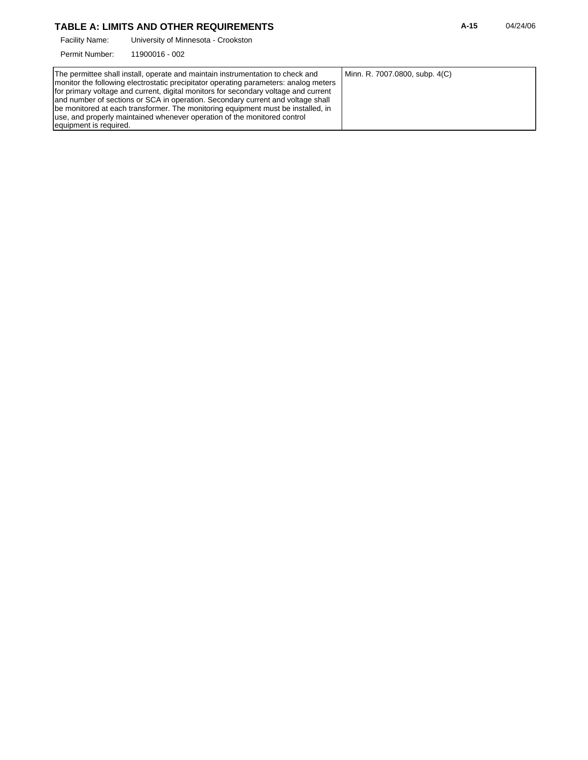# TABLE A: LIMITS AND OTHER REQUIREMENTS **A-15** 04/24/06

University of Minnesota - Crookston Facility Name:

11900016 - 002 Permit Number: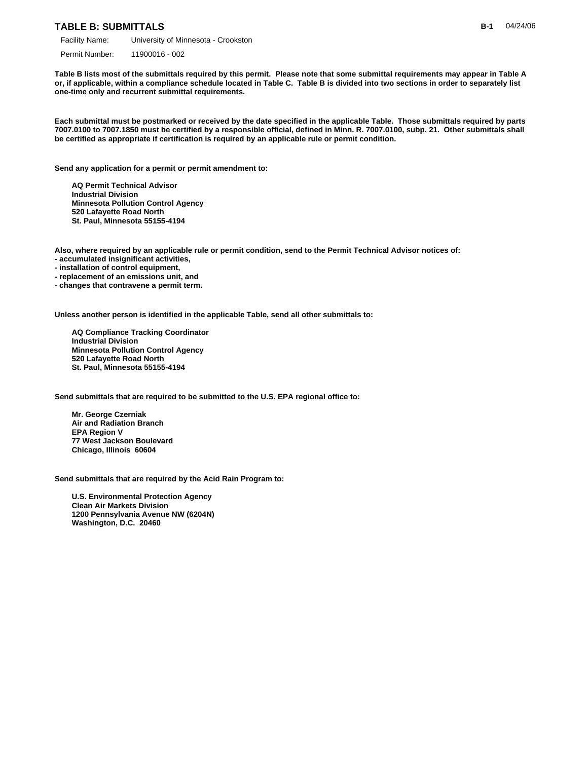#### **TABLE B: SUBMITTALS**

Permit Number: 11900016 - 002

**Table B lists most of the submittals required by this permit. Please note that some submittal requirements may appear in Table A or, if applicable, within a compliance schedule located in Table C. Table B is divided into two sections in order to separately list one-time only and recurrent submittal requirements.**

**Each submittal must be postmarked or received by the date specified in the applicable Table. Those submittals required by parts 7007.0100 to 7007.1850 must be certified by a responsible official, defined in Minn. R. 7007.0100, subp. 21. Other submittals shall be certified as appropriate if certification is required by an applicable rule or permit condition.**

**Send any application for a permit or permit amendment to:**

 **AQ Permit Technical Advisor Industrial Division Minnesota Pollution Control Agency 520 Lafayette Road North St. Paul, Minnesota 55155-4194**

**Also, where required by an applicable rule or permit condition, send to the Permit Technical Advisor notices of:**

- **accumulated insignificant activities,**
- **installation of control equipment,**
- **replacement of an emissions unit, and**
- **changes that contravene a permit term.**

**Unless another person is identified in the applicable Table, send all other submittals to:**

 **AQ Compliance Tracking Coordinator Industrial Division Minnesota Pollution Control Agency 520 Lafayette Road North St. Paul, Minnesota 55155-4194**

**Send submittals that are required to be submitted to the U.S. EPA regional office to:**

 **Mr. George Czerniak Air and Radiation Branch EPA Region V 77 West Jackson Boulevard Chicago, Illinois 60604**

**Send submittals that are required by the Acid Rain Program to:**

 **U.S. Environmental Protection Agency Clean Air Markets Division 1200 Pennsylvania Avenue NW (6204N) Washington, D.C. 20460**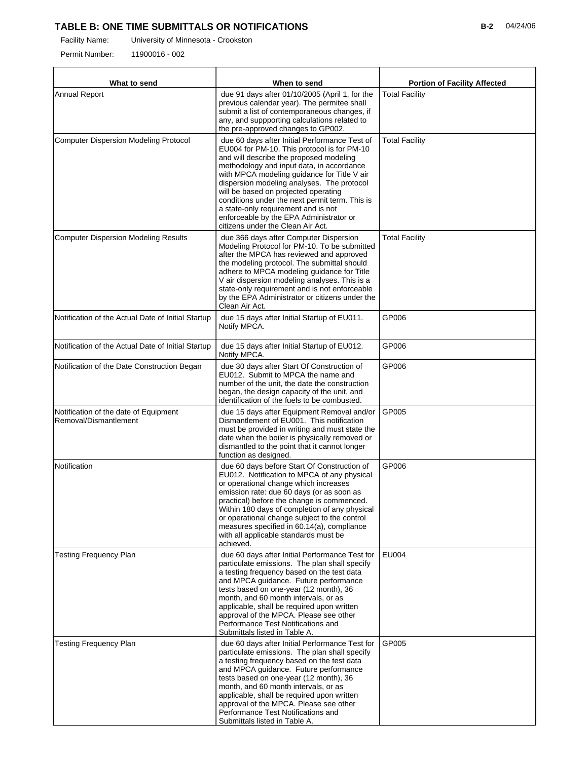# **TABLE B: ONE TIME SUBMITTALS OR NOTIFICATIONS**

Permit Number: 11900016 - 002

| What to send                                                   | When to send                                                                                                                                                                                                                                                                                                                                                                                                                                                                                       | <b>Portion of Facility Affected</b> |
|----------------------------------------------------------------|----------------------------------------------------------------------------------------------------------------------------------------------------------------------------------------------------------------------------------------------------------------------------------------------------------------------------------------------------------------------------------------------------------------------------------------------------------------------------------------------------|-------------------------------------|
| <b>Annual Report</b>                                           | due 91 days after 01/10/2005 (April 1, for the<br>previous calendar year). The permitee shall<br>submit a list of contemporaneous changes, if<br>any, and suppporting calculations related to<br>the pre-approved changes to GP002.                                                                                                                                                                                                                                                                | <b>Total Facility</b>               |
| <b>Computer Dispersion Modeling Protocol</b>                   | due 60 days after Initial Performance Test of<br>EU004 for PM-10. This protocol is for PM-10<br>and will describe the proposed modeling<br>methodology and input data, in accordance<br>with MPCA modeling guidance for Title V air<br>dispersion modeling analyses. The protocol<br>will be based on projected operating<br>conditions under the next permit term. This is<br>a state-only requirement and is not<br>enforceable by the EPA Administrator or<br>citizens under the Clean Air Act. | <b>Total Facility</b>               |
| <b>Computer Dispersion Modeling Results</b>                    | due 366 days after Computer Dispersion<br>Modeling Protocol for PM-10. To be submitted<br>after the MPCA has reviewed and approved<br>the modeling protocol. The submittal should<br>adhere to MPCA modeling guidance for Title<br>V air dispersion modeling analyses. This is a<br>state-only requirement and is not enforceable<br>by the EPA Administrator or citizens under the<br>Clean Air Act.                                                                                              | <b>Total Facility</b>               |
| Notification of the Actual Date of Initial Startup             | due 15 days after Initial Startup of EU011.<br>Notify MPCA.                                                                                                                                                                                                                                                                                                                                                                                                                                        | GP006                               |
| Notification of the Actual Date of Initial Startup             | due 15 days after Initial Startup of EU012.<br>Notify MPCA.                                                                                                                                                                                                                                                                                                                                                                                                                                        | GP006                               |
| Notification of the Date Construction Began                    | due 30 days after Start Of Construction of<br>EU012. Submit to MPCA the name and<br>number of the unit, the date the construction<br>began, the design capacity of the unit, and<br>identification of the fuels to be combusted.                                                                                                                                                                                                                                                                   | GP006                               |
| Notification of the date of Equipment<br>Removal/Dismantlement | due 15 days after Equipment Removal and/or<br>Dismantlement of EU001. This notification<br>must be provided in writing and must state the<br>date when the boiler is physically removed or<br>dismantled to the point that it cannot longer<br>function as designed.                                                                                                                                                                                                                               | GP005                               |
| Notification                                                   | due 60 days before Start Of Construction of<br>EU012. Notification to MPCA of any physical<br>or operational change which increases<br>emission rate: due 60 days (or as soon as<br>practical) before the change is commenced.<br>Within 180 days of completion of any physical<br>or operational change subject to the control<br>measures specified in 60.14(a), compliance<br>with all applicable standards must be<br>achieved.                                                                | GP006                               |
| <b>Testing Frequency Plan</b>                                  | due 60 days after Initial Performance Test for<br>particulate emissions. The plan shall specify<br>a testing frequency based on the test data<br>and MPCA guidance. Future performance<br>tests based on one-year (12 month), 36<br>month, and 60 month intervals, or as<br>applicable, shall be required upon written<br>approval of the MPCA. Please see other<br>Performance Test Notifications and<br>Submittals listed in Table A.                                                            | EU004                               |
| <b>Testing Frequency Plan</b>                                  | due 60 days after Initial Performance Test for<br>particulate emissions. The plan shall specify<br>a testing frequency based on the test data<br>and MPCA guidance. Future performance<br>tests based on one-year (12 month), 36<br>month, and 60 month intervals, or as<br>applicable, shall be required upon written<br>approval of the MPCA. Please see other<br>Performance Test Notifications and<br>Submittals listed in Table A.                                                            | GP005                               |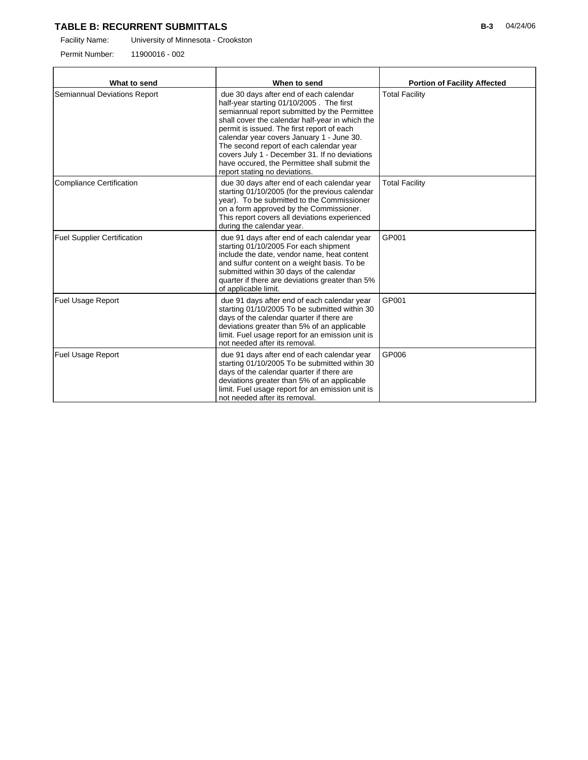### **TABLE B: RECURRENT SUBMITTALS**

Facility Name: University of Minnesota - Crookston

Permit Number: 11900016 - 002

| What to send<br>When to send       |                                                                                                                                                                                                                                                                                                                                                                                                                                                               | <b>Portion of Facility Affected</b> |
|------------------------------------|---------------------------------------------------------------------------------------------------------------------------------------------------------------------------------------------------------------------------------------------------------------------------------------------------------------------------------------------------------------------------------------------------------------------------------------------------------------|-------------------------------------|
| Semiannual Deviations Report       | due 30 days after end of each calendar<br>half-year starting 01/10/2005. The first<br>semiannual report submitted by the Permittee<br>shall cover the calendar half-year in which the<br>permit is issued. The first report of each<br>calendar year covers January 1 - June 30.<br>The second report of each calendar year<br>covers July 1 - December 31. If no deviations<br>have occured, the Permittee shall submit the<br>report stating no deviations. | <b>Total Facility</b>               |
| <b>Compliance Certification</b>    | due 30 days after end of each calendar year<br>starting 01/10/2005 (for the previous calendar<br>year). To be submitted to the Commissioner<br>on a form approved by the Commissioner.<br>This report covers all deviations experienced<br>during the calendar year.                                                                                                                                                                                          | <b>Total Facility</b>               |
| <b>Fuel Supplier Certification</b> | due 91 days after end of each calendar year<br>starting 01/10/2005 For each shipment<br>include the date, vendor name, heat content<br>and sulfur content on a weight basis. To be<br>submitted within 30 days of the calendar<br>quarter if there are deviations greater than 5%<br>of applicable limit.                                                                                                                                                     | GP001                               |
| <b>Fuel Usage Report</b>           | due 91 days after end of each calendar year<br>starting 01/10/2005 To be submitted within 30<br>days of the calendar quarter if there are<br>deviations greater than 5% of an applicable<br>limit. Fuel usage report for an emission unit is<br>not needed after its removal.                                                                                                                                                                                 | GP001                               |
| <b>Fuel Usage Report</b>           | due 91 days after end of each calendar year<br>starting 01/10/2005 To be submitted within 30<br>days of the calendar quarter if there are<br>deviations greater than 5% of an applicable<br>limit. Fuel usage report for an emission unit is<br>not needed after its removal.                                                                                                                                                                                 | GP006                               |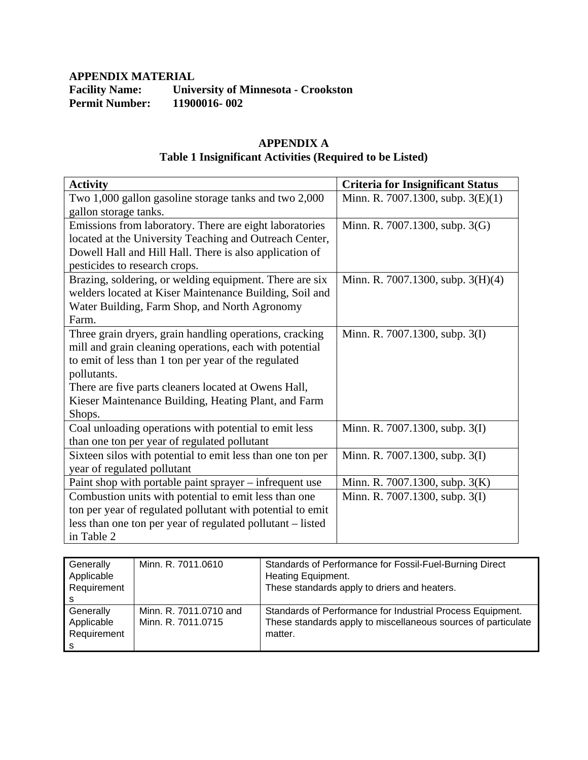# **APPENDIX MATERIAL**  Facility Name: University of Minnesota - Crookston Permit Number: 11900016-002 **Permit Number:**

# **APPENDIX A Table 1 Insignificant Activities (Required to be Listed)**

| <b>Activity</b>                                            | <b>Criteria for Insignificant Status</b> |
|------------------------------------------------------------|------------------------------------------|
| Two 1,000 gallon gasoline storage tanks and two 2,000      | Minn. R. 7007.1300, subp. 3(E)(1)        |
| gallon storage tanks.                                      |                                          |
| Emissions from laboratory. There are eight laboratories    | Minn. R. 7007.1300, subp. 3(G)           |
| located at the University Teaching and Outreach Center,    |                                          |
| Dowell Hall and Hill Hall. There is also application of    |                                          |
| pesticides to research crops.                              |                                          |
| Brazing, soldering, or welding equipment. There are six    | Minn. R. 7007.1300, subp. 3(H)(4)        |
| welders located at Kiser Maintenance Building, Soil and    |                                          |
| Water Building, Farm Shop, and North Agronomy              |                                          |
| Farm.                                                      |                                          |
| Three grain dryers, grain handling operations, cracking    | Minn. R. 7007.1300, subp. 3(I)           |
| mill and grain cleaning operations, each with potential    |                                          |
| to emit of less than 1 ton per year of the regulated       |                                          |
| pollutants.                                                |                                          |
| There are five parts cleaners located at Owens Hall,       |                                          |
| Kieser Maintenance Building, Heating Plant, and Farm       |                                          |
| Shops.                                                     |                                          |
| Coal unloading operations with potential to emit less      | Minn. R. 7007.1300, subp. 3(I)           |
| than one ton per year of regulated pollutant               |                                          |
| Sixteen silos with potential to emit less than one ton per | Minn. R. 7007.1300, subp. 3(I)           |
| year of regulated pollutant                                |                                          |
| Paint shop with portable paint sprayer – infrequent use    | Minn. R. 7007.1300, subp. 3(K)           |
| Combustion units with potential to emit less than one      | Minn. R. 7007.1300, subp. 3(I)           |
| ton per year of regulated pollutant with potential to emit |                                          |
| less than one ton per year of regulated pollutant – listed |                                          |
| in Table 2                                                 |                                          |

| Generally<br>Applicable | Minn. R. 7011.0610     | Standards of Performance for Fossil-Fuel-Burning Direct<br>Heating Equipment. |
|-------------------------|------------------------|-------------------------------------------------------------------------------|
| Requirement             |                        | These standards apply to driers and heaters.                                  |
|                         |                        |                                                                               |
|                         |                        |                                                                               |
| Generally               | Minn. R. 7011.0710 and | Standards of Performance for Industrial Process Equipment.                    |
| Applicable              | Minn. R. 7011.0715     | These standards apply to miscellaneous sources of particulate                 |
| Requirement             |                        | matter.                                                                       |
|                         |                        |                                                                               |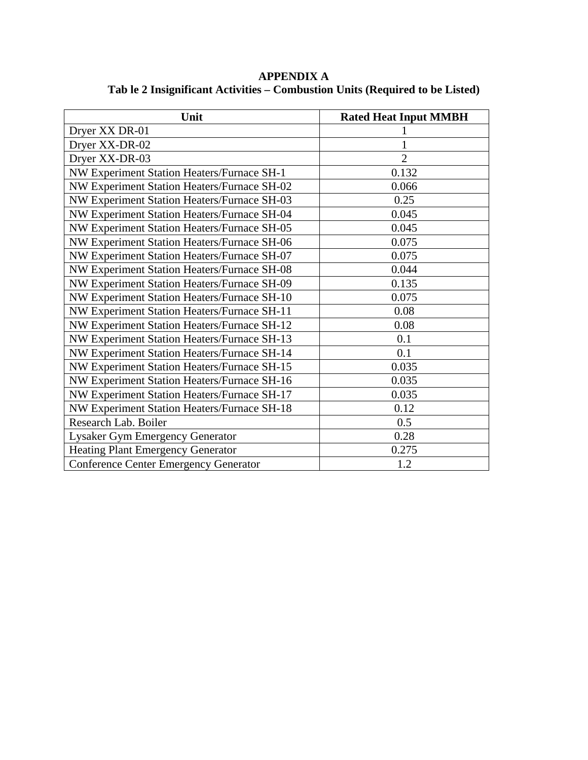| Unit                                         | <b>Rated Heat Input MMBH</b> |
|----------------------------------------------|------------------------------|
| Dryer XX DR-01                               |                              |
| Dryer XX-DR-02                               |                              |
| Dryer XX-DR-03                               | $\overline{2}$               |
| NW Experiment Station Heaters/Furnace SH-1   | 0.132                        |
| NW Experiment Station Heaters/Furnace SH-02  | 0.066                        |
| NW Experiment Station Heaters/Furnace SH-03  | 0.25                         |
| NW Experiment Station Heaters/Furnace SH-04  | 0.045                        |
| NW Experiment Station Heaters/Furnace SH-05  | 0.045                        |
| NW Experiment Station Heaters/Furnace SH-06  | 0.075                        |
| NW Experiment Station Heaters/Furnace SH-07  | 0.075                        |
| NW Experiment Station Heaters/Furnace SH-08  | 0.044                        |
| NW Experiment Station Heaters/Furnace SH-09  | 0.135                        |
| NW Experiment Station Heaters/Furnace SH-10  | 0.075                        |
| NW Experiment Station Heaters/Furnace SH-11  | 0.08                         |
| NW Experiment Station Heaters/Furnace SH-12  | 0.08                         |
| NW Experiment Station Heaters/Furnace SH-13  | 0.1                          |
| NW Experiment Station Heaters/Furnace SH-14  | 0.1                          |
| NW Experiment Station Heaters/Furnace SH-15  | 0.035                        |
| NW Experiment Station Heaters/Furnace SH-16  | 0.035                        |
| NW Experiment Station Heaters/Furnace SH-17  | 0.035                        |
| NW Experiment Station Heaters/Furnace SH-18  | 0.12                         |
| Research Lab. Boiler                         | 0.5                          |
| Lysaker Gym Emergency Generator              | 0.28                         |
| <b>Heating Plant Emergency Generator</b>     | 0.275                        |
| <b>Conference Center Emergency Generator</b> | 1.2                          |

**APPENDIX A Tab le 2 Insignificant Activities – Combustion Units (Required to be Listed)**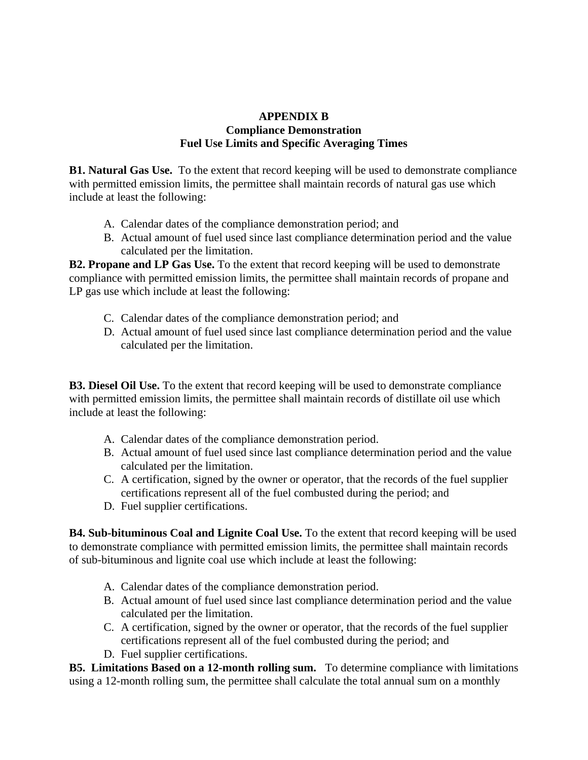# **APPENDIX B Compliance Demonstration Fuel Use Limits and Specific Averaging Times**

**B1. Natural Gas Use.** To the extent that record keeping will be used to demonstrate compliance with permitted emission limits, the permittee shall maintain records of natural gas use which include at least the following:

- A. Calendar dates of the compliance demonstration period; and
- B. Actual amount of fuel used since last compliance determination period and the value calculated per the limitation.

**B2. Propane and LP Gas Use.** To the extent that record keeping will be used to demonstrate compliance with permitted emission limits, the permittee shall maintain records of propane and LP gas use which include at least the following:

- C. Calendar dates of the compliance demonstration period; and
- D. Actual amount of fuel used since last compliance determination period and the value calculated per the limitation.

**B3. Diesel Oil Use.** To the extent that record keeping will be used to demonstrate compliance with permitted emission limits, the permittee shall maintain records of distillate oil use which include at least the following:

- A. Calendar dates of the compliance demonstration period.
- B. Actual amount of fuel used since last compliance determination period and the value calculated per the limitation.
- C. A certification, signed by the owner or operator, that the records of the fuel supplier certifications represent all of the fuel combusted during the period; and
- D. Fuel supplier certifications.

**B4. Sub-bituminous Coal and Lignite Coal Use.** To the extent that record keeping will be used to demonstrate compliance with permitted emission limits, the permittee shall maintain records of sub-bituminous and lignite coal use which include at least the following:

- A. Calendar dates of the compliance demonstration period.
- B. Actual amount of fuel used since last compliance determination period and the value calculated per the limitation.
- C. A certification, signed by the owner or operator, that the records of the fuel supplier certifications represent all of the fuel combusted during the period; and
- D. Fuel supplier certifications.

**B5. Limitations Based on a 12-month rolling sum.** To determine compliance with limitations using a 12-month rolling sum, the permittee shall calculate the total annual sum on a monthly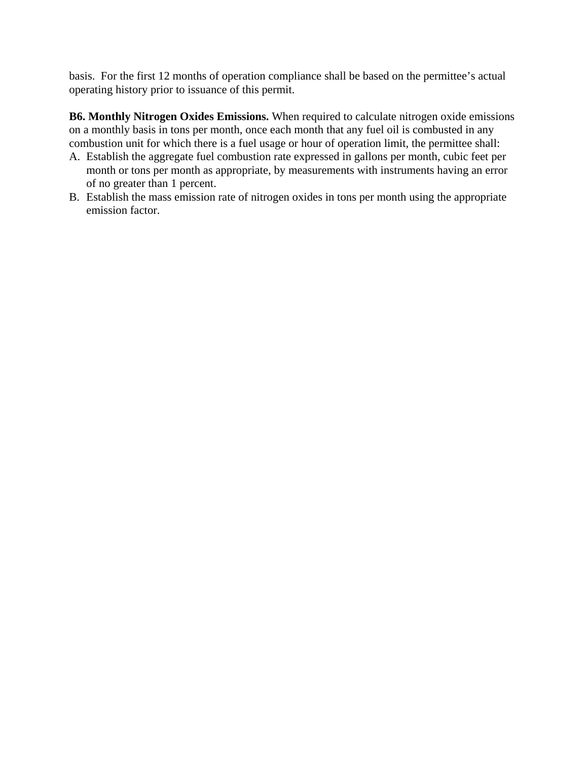basis. For the first 12 months of operation compliance shall be based on the permittee's actual operating history prior to issuance of this permit.

**B6. Monthly Nitrogen Oxides Emissions.** When required to calculate nitrogen oxide emissions on a monthly basis in tons per month, once each month that any fuel oil is combusted in any combustion unit for which there is a fuel usage or hour of operation limit, the permittee shall:

- A. Establish the aggregate fuel combustion rate expressed in gallons per month, cubic feet per month or tons per month as appropriate, by measurements with instruments having an error of no greater than 1 percent.
- B. Establish the mass emission rate of nitrogen oxides in tons per month using the appropriate emission factor.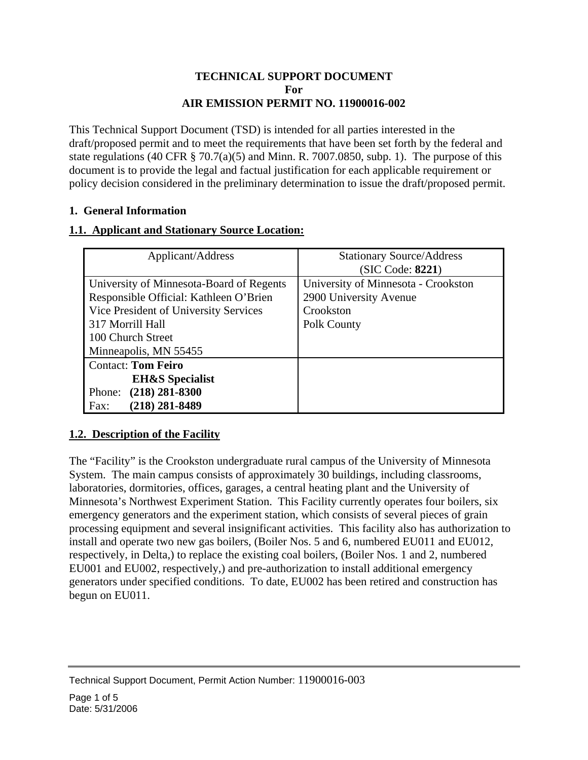# **TECHNICAL SUPPORT DOCUMENT For AIR EMISSION PERMIT NO. 11900016-002**

This Technical Support Document (TSD) is intended for all parties interested in the draft/proposed permit and to meet the requirements that have been set forth by the federal and state regulations (40 CFR  $\S$  70.7(a)(5) and Minn. R. 7007.0850, subp. 1). The purpose of this document is to provide the legal and factual justification for each applicable requirement or policy decision considered in the preliminary determination to issue the draft/proposed permit.

# **1. General Information**

# **1.1. Applicant and Stationary Source Location:**

| Applicant/Address                        | <b>Stationary Source/Address</b>    |
|------------------------------------------|-------------------------------------|
|                                          | (SIC Code: 8221)                    |
| University of Minnesota-Board of Regents | University of Minnesota - Crookston |
| Responsible Official: Kathleen O'Brien   | 2900 University Avenue              |
| Vice President of University Services    | Crookston                           |
| 317 Morrill Hall                         | Polk County                         |
| 100 Church Street                        |                                     |
| Minneapolis, MN 55455                    |                                     |
| <b>Contact: Tom Feiro</b>                |                                     |
| <b>EH&amp;S</b> Specialist               |                                     |
| $(218) 281 - 8300$<br>Phone:             |                                     |
| $(218)$ 281-8489<br>Fax:                 |                                     |

# **1.2. Description of the Facility**

The "Facility" is the Crookston undergraduate rural campus of the University of Minnesota System. The main campus consists of approximately 30 buildings, including classrooms, laboratories, dormitories, offices, garages, a central heating plant and the University of Minnesota's Northwest Experiment Station. This Facility currently operates four boilers, six emergency generators and the experiment station, which consists of several pieces of grain processing equipment and several insignificant activities. This facility also has authorization to install and operate two new gas boilers, (Boiler Nos. 5 and 6, numbered EU011 and EU012, respectively, in Delta,) to replace the existing coal boilers, (Boiler Nos. 1 and 2, numbered EU001 and EU002, respectively,) and pre-authorization to install additional emergency generators under specified conditions. To date, EU002 has been retired and construction has begun on EU011.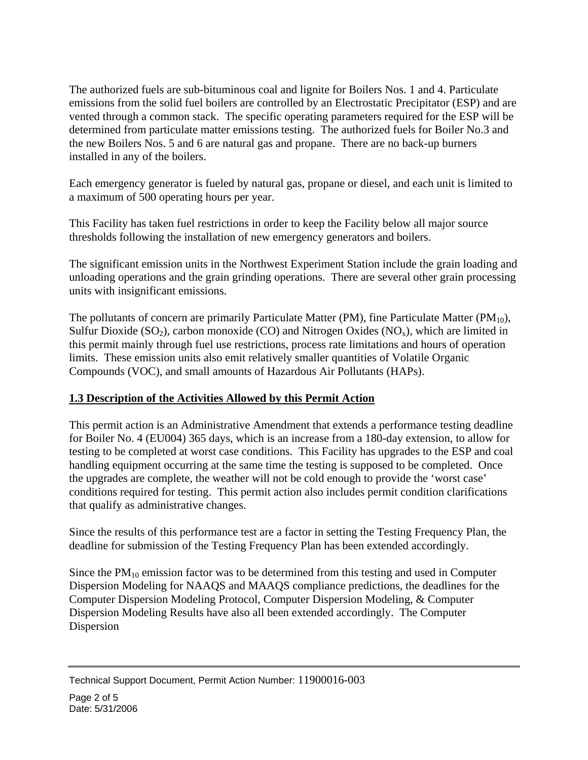The authorized fuels are sub-bituminous coal and lignite for Boilers Nos. 1 and 4. Particulate emissions from the solid fuel boilers are controlled by an Electrostatic Precipitator (ESP) and are vented through a common stack. The specific operating parameters required for the ESP will be determined from particulate matter emissions testing. The authorized fuels for Boiler No.3 and the new Boilers Nos. 5 and 6 are natural gas and propane. There are no back-up burners installed in any of the boilers.

Each emergency generator is fueled by natural gas, propane or diesel, and each unit is limited to a maximum of 500 operating hours per year.

This Facility has taken fuel restrictions in order to keep the Facility below all major source thresholds following the installation of new emergency generators and boilers.

The significant emission units in the Northwest Experiment Station include the grain loading and unloading operations and the grain grinding operations. There are several other grain processing units with insignificant emissions.

The pollutants of concern are primarily Particulate Matter (PM), fine Particulate Matter (PM $_{10}$ ), Sulfur Dioxide (SO<sub>2</sub>), carbon monoxide (CO) and Nitrogen Oxides (NO<sub>x</sub>), which are limited in this permit mainly through fuel use restrictions, process rate limitations and hours of operation limits. These emission units also emit relatively smaller quantities of Volatile Organic Compounds (VOC), and small amounts of Hazardous Air Pollutants (HAPs).

# **1.3 Description of the Activities Allowed by this Permit Action**

This permit action is an Administrative Amendment that extends a performance testing deadline for Boiler No. 4 (EU004) 365 days, which is an increase from a 180-day extension, to allow for testing to be completed at worst case conditions. This Facility has upgrades to the ESP and coal handling equipment occurring at the same time the testing is supposed to be completed. Once the upgrades are complete, the weather will not be cold enough to provide the 'worst case' conditions required for testing. This permit action also includes permit condition clarifications that qualify as administrative changes.

Since the results of this performance test are a factor in setting the Testing Frequency Plan, the deadline for submission of the Testing Frequency Plan has been extended accordingly.

Since the  $PM_{10}$  emission factor was to be determined from this testing and used in Computer Dispersion Modeling for NAAQS and MAAQS compliance predictions, the deadlines for the Computer Dispersion Modeling Protocol, Computer Dispersion Modeling, & Computer Dispersion Modeling Results have also all been extended accordingly. The Computer Dispersion

Technical Support Document, Permit Action Number: 11900016-003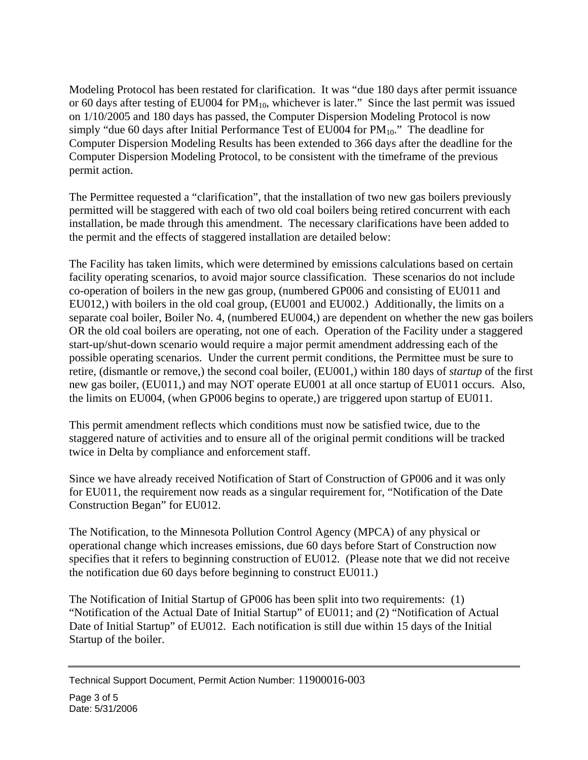Modeling Protocol has been restated for clarification. It was "due 180 days after permit issuance or 60 days after testing of EU004 for  $PM_{10}$ , whichever is later." Since the last permit was issued on 1/10/2005 and 180 days has passed, the Computer Dispersion Modeling Protocol is now simply "due 60 days after Initial Performance Test of EU004 for  $PM_{10}$ ." The deadline for Computer Dispersion Modeling Results has been extended to 366 days after the deadline for the Computer Dispersion Modeling Protocol, to be consistent with the timeframe of the previous permit action.

The Permittee requested a "clarification", that the installation of two new gas boilers previously permitted will be staggered with each of two old coal boilers being retired concurrent with each installation, be made through this amendment. The necessary clarifications have been added to the permit and the effects of staggered installation are detailed below:

The Facility has taken limits, which were determined by emissions calculations based on certain facility operating scenarios, to avoid major source classification. These scenarios do not include co-operation of boilers in the new gas group, (numbered GP006 and consisting of EU011 and EU012,) with boilers in the old coal group, (EU001 and EU002.) Additionally, the limits on a separate coal boiler, Boiler No. 4, (numbered EU004,) are dependent on whether the new gas boilers OR the old coal boilers are operating, not one of each. Operation of the Facility under a staggered start-up/shut-down scenario would require a major permit amendment addressing each of the possible operating scenarios. Under the current permit conditions, the Permittee must be sure to retire, (dismantle or remove,) the second coal boiler, (EU001,) within 180 days of *startup* of the first new gas boiler, (EU011,) and may NOT operate EU001 at all once startup of EU011 occurs. Also, the limits on EU004, (when GP006 begins to operate,) are triggered upon startup of EU011.

This permit amendment reflects which conditions must now be satisfied twice, due to the staggered nature of activities and to ensure all of the original permit conditions will be tracked twice in Delta by compliance and enforcement staff.

Since we have already received Notification of Start of Construction of GP006 and it was only for EU011, the requirement now reads as a singular requirement for, "Notification of the Date Construction Began" for EU012.

The Notification, to the Minnesota Pollution Control Agency (MPCA) of any physical or operational change which increases emissions, due 60 days before Start of Construction now specifies that it refers to beginning construction of EU012. (Please note that we did not receive the notification due 60 days before beginning to construct EU011.)

The Notification of Initial Startup of GP006 has been split into two requirements: (1) "Notification of the Actual Date of Initial Startup" of EU011; and (2) "Notification of Actual Date of Initial Startup" of EU012. Each notification is still due within 15 days of the Initial Startup of the boiler.

Technical Support Document, Permit Action Number: 11900016-003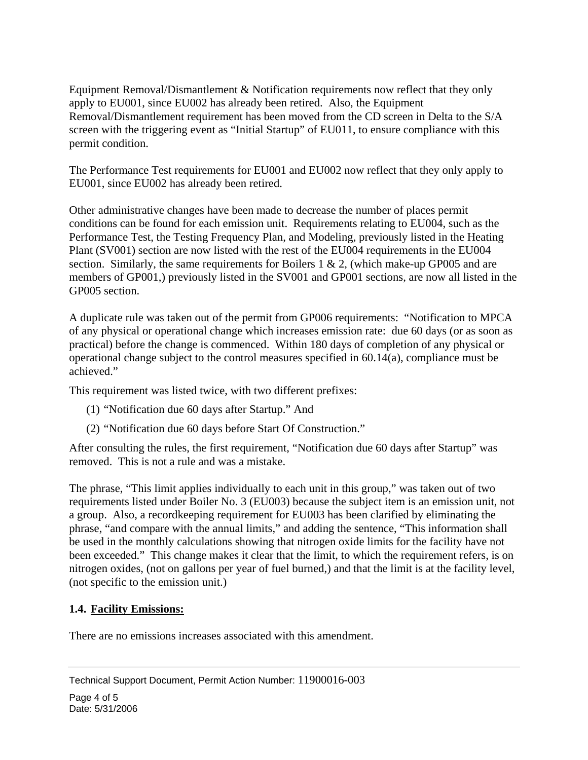Equipment Removal/Dismantlement & Notification requirements now reflect that they only apply to EU001, since EU002 has already been retired. Also, the Equipment Removal/Dismantlement requirement has been moved from the CD screen in Delta to the S/A screen with the triggering event as "Initial Startup" of EU011, to ensure compliance with this permit condition.

The Performance Test requirements for EU001 and EU002 now reflect that they only apply to EU001, since EU002 has already been retired.

Other administrative changes have been made to decrease the number of places permit conditions can be found for each emission unit. Requirements relating to EU004, such as the Performance Test, the Testing Frequency Plan, and Modeling, previously listed in the Heating Plant (SV001) section are now listed with the rest of the EU004 requirements in the EU004 section. Similarly, the same requirements for Boilers 1 & 2, (which make-up GP005 and are members of GP001,) previously listed in the SV001 and GP001 sections, are now all listed in the GP005 section.

A duplicate rule was taken out of the permit from GP006 requirements: "Notification to MPCA of any physical or operational change which increases emission rate: due 60 days (or as soon as practical) before the change is commenced. Within 180 days of completion of any physical or operational change subject to the control measures specified in 60.14(a), compliance must be achieved."

This requirement was listed twice, with two different prefixes:

- (1) "Notification due 60 days after Startup." And
- (2) "Notification due 60 days before Start Of Construction."

After consulting the rules, the first requirement, "Notification due 60 days after Startup" was removed. This is not a rule and was a mistake.

The phrase, "This limit applies individually to each unit in this group," was taken out of two requirements listed under Boiler No. 3 (EU003) because the subject item is an emission unit, not a group. Also, a recordkeeping requirement for EU003 has been clarified by eliminating the phrase, "and compare with the annual limits," and adding the sentence, "This information shall be used in the monthly calculations showing that nitrogen oxide limits for the facility have not been exceeded." This change makes it clear that the limit, to which the requirement refers, is on nitrogen oxides, (not on gallons per year of fuel burned,) and that the limit is at the facility level, (not specific to the emission unit.)

# **1.4. Facility Emissions:**

There are no emissions increases associated with this amendment.